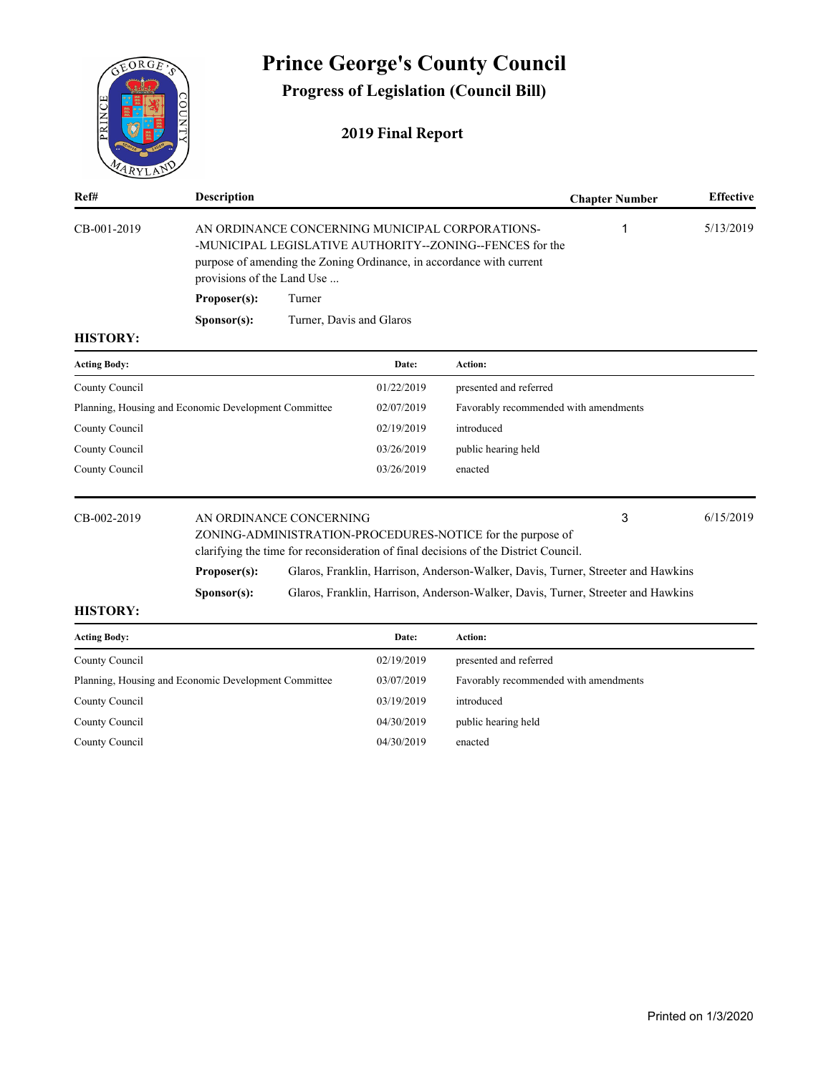

# **Prince George's County Council**

**Progress of Legislation (Council Bill)**

# **2019 Final Report**

| Ref#                                                 | <b>Description</b>                                                                                                                                                                                                |                          |            |                                                                                                                                                   | <b>Chapter Number</b> | <b>Effective</b> |
|------------------------------------------------------|-------------------------------------------------------------------------------------------------------------------------------------------------------------------------------------------------------------------|--------------------------|------------|---------------------------------------------------------------------------------------------------------------------------------------------------|-----------------------|------------------|
| CB-001-2019                                          | AN ORDINANCE CONCERNING MUNICIPAL CORPORATIONS-<br>-MUNICIPAL LEGISLATIVE AUTHORITY--ZONING--FENCES for the<br>purpose of amending the Zoning Ordinance, in accordance with current<br>provisions of the Land Use |                          |            |                                                                                                                                                   |                       | 5/13/2019        |
|                                                      | Proposer(s):                                                                                                                                                                                                      | Turner                   |            |                                                                                                                                                   |                       |                  |
|                                                      | S <b>p</b> onsor(s):                                                                                                                                                                                              | Turner, Davis and Glaros |            |                                                                                                                                                   |                       |                  |
| <b>HISTORY:</b>                                      |                                                                                                                                                                                                                   |                          |            |                                                                                                                                                   |                       |                  |
| <b>Acting Body:</b>                                  |                                                                                                                                                                                                                   |                          | Date:      | <b>Action:</b>                                                                                                                                    |                       |                  |
| County Council                                       |                                                                                                                                                                                                                   |                          | 01/22/2019 | presented and referred                                                                                                                            |                       |                  |
| Planning, Housing and Economic Development Committee |                                                                                                                                                                                                                   |                          | 02/07/2019 | Favorably recommended with amendments                                                                                                             |                       |                  |
| County Council                                       |                                                                                                                                                                                                                   |                          | 02/19/2019 | introduced                                                                                                                                        |                       |                  |
| County Council                                       |                                                                                                                                                                                                                   |                          | 03/26/2019 | public hearing held                                                                                                                               |                       |                  |
| County Council                                       |                                                                                                                                                                                                                   |                          | 03/26/2019 | enacted                                                                                                                                           |                       |                  |
| CB-002-2019                                          |                                                                                                                                                                                                                   | AN ORDINANCE CONCERNING  |            | ZONING-ADMINISTRATION-PROCEDURES-NOTICE for the purpose of<br>clarifying the time for reconsideration of final decisions of the District Council. | 3                     | 6/15/2019        |

**Proposer(s):** Glaros, Franklin, Harrison, Anderson-Walker, Davis, Turner, Streeter and Hawkins

**Sponsor(s):** Glaros, Franklin, Harrison, Anderson-Walker, Davis, Turner, Streeter and Hawkins

| <b>Acting Body:</b>                                  | Date:      | Action:                               |
|------------------------------------------------------|------------|---------------------------------------|
| County Council                                       | 02/19/2019 | presented and referred                |
| Planning, Housing and Economic Development Committee | 03/07/2019 | Favorably recommended with amendments |
| County Council                                       | 03/19/2019 | introduced                            |
| County Council                                       | 04/30/2019 | public hearing held                   |
| County Council                                       | 04/30/2019 | enacted                               |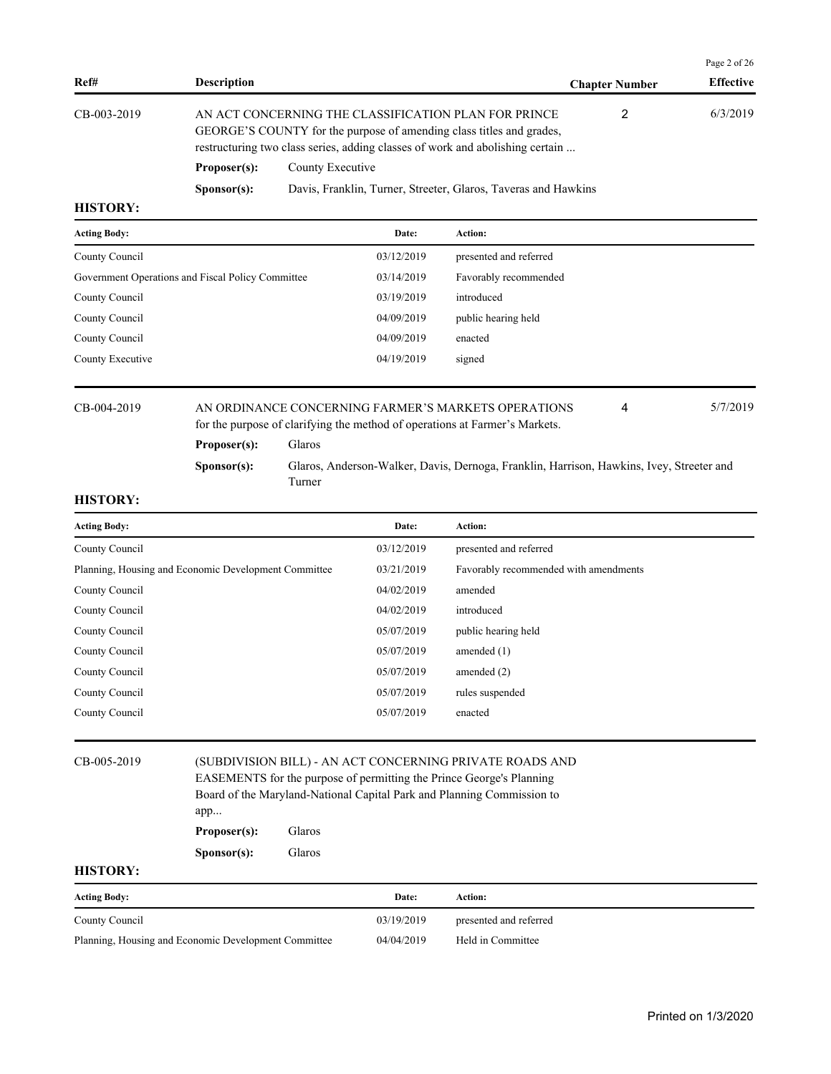|                 |                                                                                                                                                                                                               |                                                                |                       | Page 2 of 26     |
|-----------------|---------------------------------------------------------------------------------------------------------------------------------------------------------------------------------------------------------------|----------------------------------------------------------------|-----------------------|------------------|
| Ref#            | <b>Description</b>                                                                                                                                                                                            |                                                                | <b>Chapter Number</b> | <b>Effective</b> |
| $CB-003-2019$   | AN ACT CONCERNING THE CLASSIFICATION PLAN FOR PRINCE<br>GEORGE'S COUNTY for the purpose of amending class titles and grades,<br>restructuring two class series, adding classes of work and abolishing certain |                                                                | 2                     | 6/3/2019         |
|                 | Proposer(s):                                                                                                                                                                                                  | County Executive                                               |                       |                  |
|                 | S <b>p</b> onsor(s):                                                                                                                                                                                          | Davis, Franklin, Turner, Streeter, Glaros, Taveras and Hawkins |                       |                  |
| <b>HISTORY:</b> |                                                                                                                                                                                                               |                                                                |                       |                  |

| <b>Acting Body:</b>                               | Date:      | <b>Action:</b>         |
|---------------------------------------------------|------------|------------------------|
| County Council                                    | 03/12/2019 | presented and referred |
| Government Operations and Fiscal Policy Committee | 03/14/2019 | Favorably recommended  |
| County Council                                    | 03/19/2019 | introduced             |
| County Council                                    | 04/09/2019 | public hearing held    |
| County Council                                    | 04/09/2019 | enacted                |
| County Executive                                  | 04/19/2019 | signed                 |
|                                                   |            |                        |

# CB-004-2019 AN ORDINANCE CONCERNING FARMER'S MARKETS OPERATIONS 4 5/7/2019 for the purpose of clarifying the method of operations at Farmer's Markets.

**Proposer(s):** Glaros

**Sponsor(s):** Glaros, Anderson-Walker, Davis, Dernoga, Franklin, Harrison, Hawkins, Ivey, Streeter and Turner

4

# **HISTORY:**

| <b>Acting Body:</b>                                  |                      |        | Date:      | Action:                                                                                                                                                                                                    |
|------------------------------------------------------|----------------------|--------|------------|------------------------------------------------------------------------------------------------------------------------------------------------------------------------------------------------------------|
| County Council                                       |                      |        | 03/12/2019 | presented and referred                                                                                                                                                                                     |
| Planning, Housing and Economic Development Committee |                      |        | 03/21/2019 | Favorably recommended with amendments                                                                                                                                                                      |
| County Council                                       |                      |        | 04/02/2019 | amended                                                                                                                                                                                                    |
| County Council                                       |                      |        | 04/02/2019 | introduced                                                                                                                                                                                                 |
| County Council                                       |                      |        | 05/07/2019 | public hearing held                                                                                                                                                                                        |
| County Council                                       |                      |        | 05/07/2019 | amended $(1)$                                                                                                                                                                                              |
| County Council                                       |                      |        | 05/07/2019 | amended $(2)$                                                                                                                                                                                              |
| County Council                                       |                      |        | 05/07/2019 | rules suspended                                                                                                                                                                                            |
| County Council                                       |                      |        | 05/07/2019 | enacted                                                                                                                                                                                                    |
|                                                      |                      |        |            |                                                                                                                                                                                                            |
| CB-005-2019                                          | app<br>Proposer(s):  | Glaros |            | (SUBDIVISION BILL) - AN ACT CONCERNING PRIVATE ROADS AND<br>EASEMENTS for the purpose of permitting the Prince George's Planning<br>Board of the Maryland-National Capital Park and Planning Commission to |
|                                                      | S <b>p</b> onsor(s): | Glaros |            |                                                                                                                                                                                                            |
| <b>HISTORY:</b>                                      |                      |        |            |                                                                                                                                                                                                            |
| <b>Acting Body:</b>                                  |                      |        | Date:      | Action:                                                                                                                                                                                                    |
| County Council                                       |                      |        | 03/19/2019 | presented and referred                                                                                                                                                                                     |

Planning, Housing and Economic Development Committee 04/04/2019 Held in Committee

Printed on 1/3/2020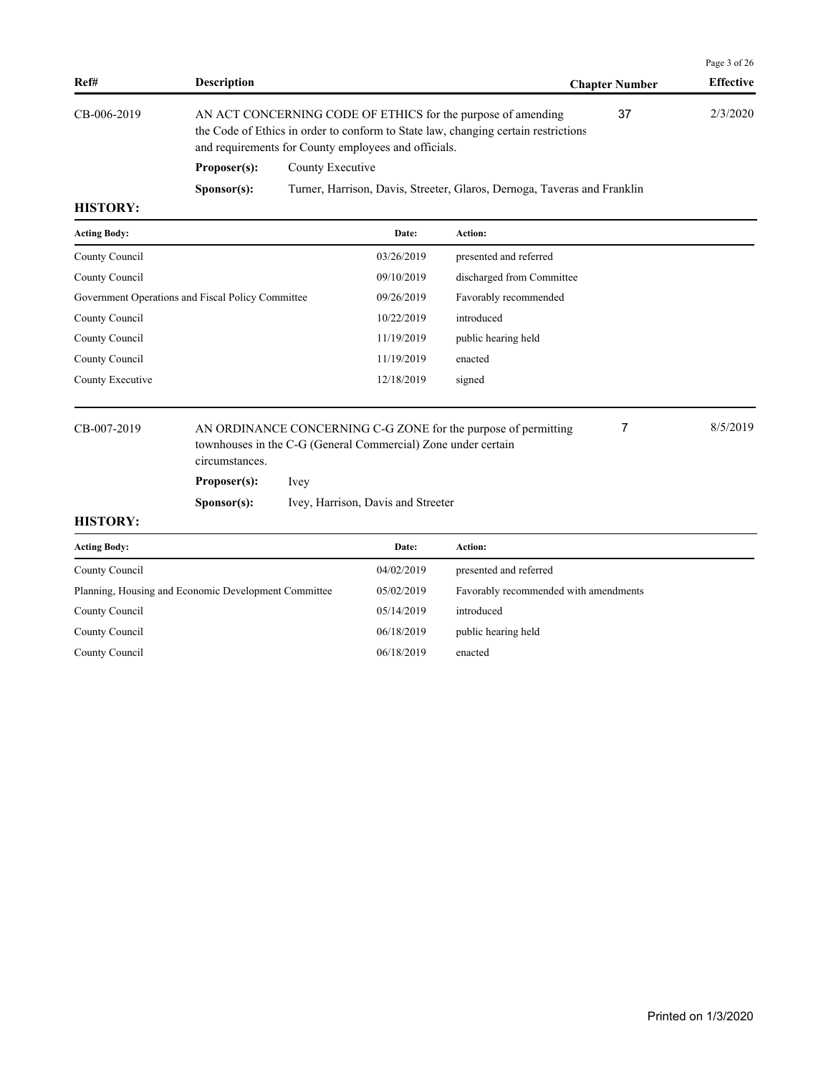|                 |                      |                                                                                                                                                                                                            |                       | Page 3 of 26     |
|-----------------|----------------------|------------------------------------------------------------------------------------------------------------------------------------------------------------------------------------------------------------|-----------------------|------------------|
| Ref#            | <b>Description</b>   |                                                                                                                                                                                                            | <b>Chapter Number</b> | <b>Effective</b> |
| CB-006-2019     |                      | AN ACT CONCERNING CODE OF ETHICS for the purpose of amending<br>the Code of Ethics in order to conform to State law, changing certain restrictions<br>and requirements for County employees and officials. | 37                    | 2/3/2020         |
|                 | Proposer(s):         | County Executive                                                                                                                                                                                           |                       |                  |
|                 | S <b>p</b> onsor(s): | Turner, Harrison, Davis, Streeter, Glaros, Dernoga, Taveras and Franklin                                                                                                                                   |                       |                  |
| <b>HISTORY:</b> |                      |                                                                                                                                                                                                            |                       |                  |

| <b>Acting Body:</b>                               | Date:      | <b>Action:</b>            |
|---------------------------------------------------|------------|---------------------------|
| County Council                                    | 03/26/2019 | presented and referred    |
| County Council                                    | 09/10/2019 | discharged from Committee |
| Government Operations and Fiscal Policy Committee | 09/26/2019 | Favorably recommended     |
| County Council                                    | 10/22/2019 | introduced                |
| County Council                                    | 11/19/2019 | public hearing held       |
| County Council                                    | 11/19/2019 | enacted                   |
| County Executive                                  | 12/18/2019 | signed                    |
|                                                   |            |                           |

CB-007-2019 AN ORDINANCE CONCERNING C-G ZONE for the purpose of permitting 8/5/2019 townhouses in the C-G (General Commercial) Zone under certain circumstances. 7

**Proposer(s):** Ivey

**Sponsor(s):** Ivey, Harrison, Davis and Streeter

| <b>Acting Body:</b>                                  | Date:      | Action:                               |
|------------------------------------------------------|------------|---------------------------------------|
| County Council                                       | 04/02/2019 | presented and referred                |
| Planning, Housing and Economic Development Committee | 05/02/2019 | Favorably recommended with amendments |
| County Council                                       | 05/14/2019 | introduced                            |
| County Council                                       | 06/18/2019 | public hearing held                   |
| County Council                                       | 06/18/2019 | enacted                               |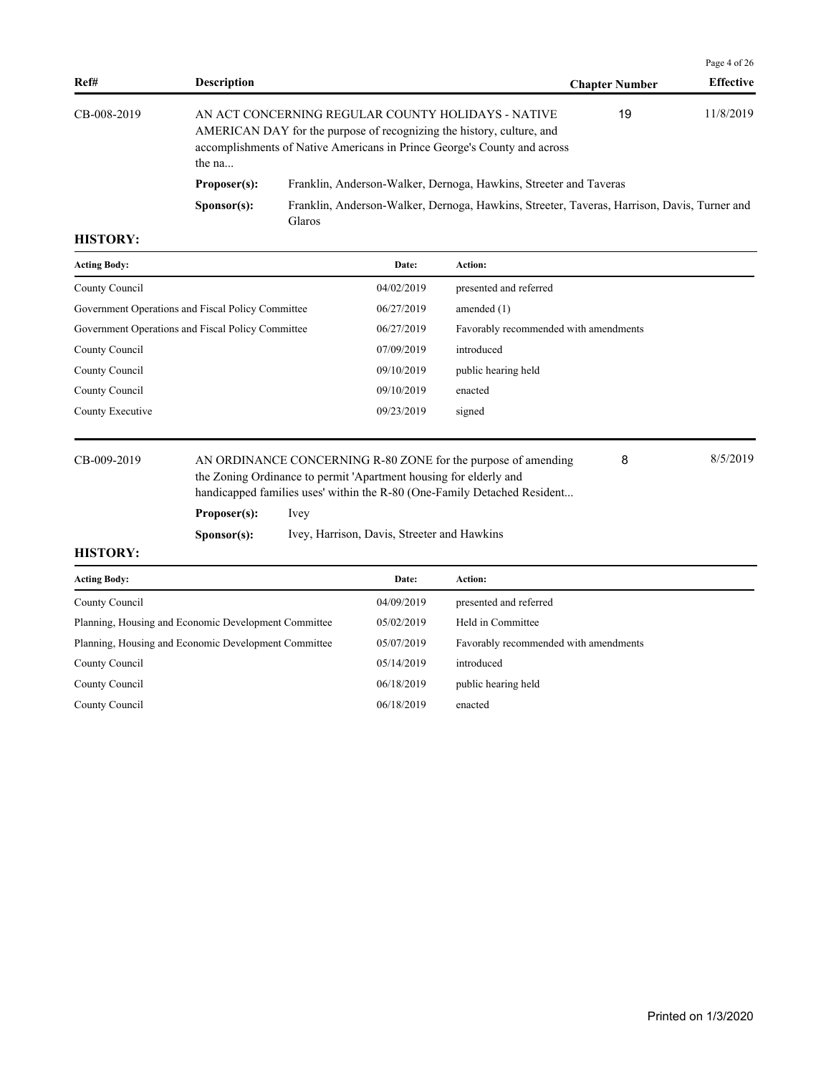|             |                      |                                                                                                                                                                                                         | Page 4 of 26          |                  |  |
|-------------|----------------------|---------------------------------------------------------------------------------------------------------------------------------------------------------------------------------------------------------|-----------------------|------------------|--|
| Ref#        | <b>Description</b>   |                                                                                                                                                                                                         | <b>Chapter Number</b> | <b>Effective</b> |  |
| CB-008-2019 | the $na$             | AN ACT CONCERNING REGULAR COUNTY HOLIDAYS - NATIVE<br>AMERICAN DAY for the purpose of recognizing the history, culture, and<br>accomplishments of Native Americans in Prince George's County and across | 19                    | 11/8/2019        |  |
|             | Proposer(s):         | Franklin, Anderson-Walker, Dernoga, Hawkins, Streeter and Taveras                                                                                                                                       |                       |                  |  |
|             | S <b>p</b> onsor(s): | Franklin, Anderson-Walker, Dernoga, Hawkins, Streeter, Taveras, Harrison, Davis, Turner and                                                                                                             |                       |                  |  |

| Date:      | Action:                               |
|------------|---------------------------------------|
| 04/02/2019 | presented and referred                |
| 06/27/2019 | amended $(1)$                         |
| 06/27/2019 | Favorably recommended with amendments |
| 07/09/2019 | introduced                            |
| 09/10/2019 | public hearing held                   |
| 09/10/2019 | enacted                               |
| 09/23/2019 | signed                                |
|            |                                       |

CB-009-2019 AN ORDINANCE CONCERNING R-80 ZONE for the purpose of amending 8/5/2019 the Zoning Ordinance to permit 'Apartment housing for elderly and handicapped families uses' within the R-80 (One-Family Detached Resident...

8

**Proposer(s):** Ivey

**Sponsor(s):** Ivey, Harrison, Davis, Streeter and Hawkins

| <b>Acting Body:</b>                                  | Date:      | Action:                               |
|------------------------------------------------------|------------|---------------------------------------|
| County Council                                       | 04/09/2019 | presented and referred                |
| Planning, Housing and Economic Development Committee | 05/02/2019 | Held in Committee                     |
| Planning, Housing and Economic Development Committee | 05/07/2019 | Favorably recommended with amendments |
| County Council                                       | 05/14/2019 | introduced                            |
| County Council                                       | 06/18/2019 | public hearing held                   |
| County Council                                       | 06/18/2019 | enacted                               |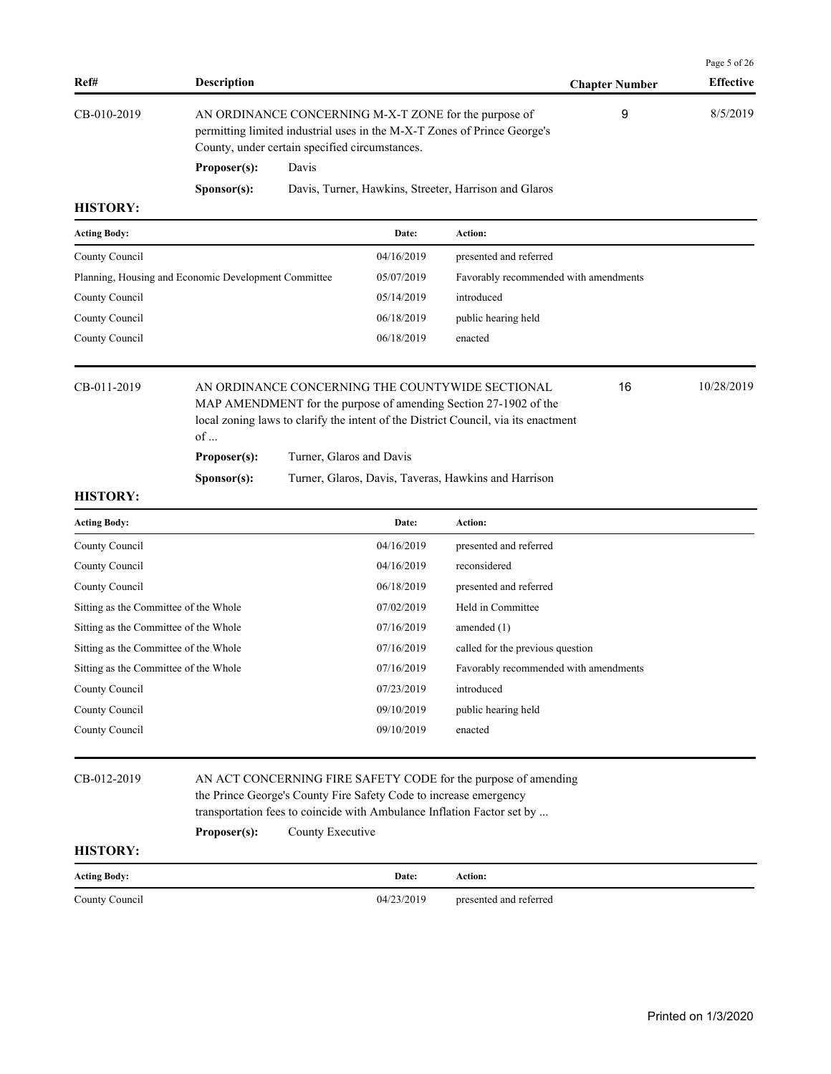| Ref#                                                 | <b>Description</b>                                                                                                                                                                                                                                           |       |            |                                                       | <b>Chapter Number</b> | Page 5 of 26<br><b>Effective</b> |
|------------------------------------------------------|--------------------------------------------------------------------------------------------------------------------------------------------------------------------------------------------------------------------------------------------------------------|-------|------------|-------------------------------------------------------|-----------------------|----------------------------------|
| CB-010-2019                                          | AN ORDINANCE CONCERNING M-X-T ZONE for the purpose of<br>permitting limited industrial uses in the M-X-T Zones of Prince George's<br>County, under certain specified circumstances.                                                                          |       |            |                                                       |                       | 8/5/2019                         |
|                                                      | Proposer(s):                                                                                                                                                                                                                                                 | Davis |            |                                                       |                       |                                  |
|                                                      | Sponsor(s):                                                                                                                                                                                                                                                  |       |            | Davis, Turner, Hawkins, Streeter, Harrison and Glaros |                       |                                  |
| <b>HISTORY:</b>                                      |                                                                                                                                                                                                                                                              |       |            |                                                       |                       |                                  |
| <b>Acting Body:</b>                                  |                                                                                                                                                                                                                                                              |       | Date:      | Action:                                               |                       |                                  |
| County Council                                       |                                                                                                                                                                                                                                                              |       | 04/16/2019 | presented and referred                                |                       |                                  |
| Planning, Housing and Economic Development Committee |                                                                                                                                                                                                                                                              |       | 05/07/2019 | Favorably recommended with amendments                 |                       |                                  |
| County Council                                       |                                                                                                                                                                                                                                                              |       | 05/14/2019 | introduced                                            |                       |                                  |
| County Council                                       |                                                                                                                                                                                                                                                              |       | 06/18/2019 | public hearing held                                   |                       |                                  |
| County Council                                       |                                                                                                                                                                                                                                                              |       | 06/18/2019 | enacted                                               |                       |                                  |
| CB-011-2019                                          | AN ORDINANCE CONCERNING THE COUNTYWIDE SECTIONAL<br>MAP AMENDMENT for the purpose of amending Section 27-1902 of the<br>local zoning laws to clarify the intent of the District Council, via its enactment<br>of<br>Proposer(s):<br>Turner, Glaros and Davis |       |            | 16                                                    | 10/28/2019            |                                  |
|                                                      | Sponsor(s):                                                                                                                                                                                                                                                  |       |            | Turner, Glaros, Davis, Taveras, Hawkins and Harrison  |                       |                                  |
| <b>HISTORY:</b>                                      |                                                                                                                                                                                                                                                              |       |            |                                                       |                       |                                  |
| <b>Acting Body:</b>                                  |                                                                                                                                                                                                                                                              |       | Date:      | Action:                                               |                       |                                  |
| County Council                                       |                                                                                                                                                                                                                                                              |       | 04/16/2019 | presented and referred                                |                       |                                  |
| County Council                                       |                                                                                                                                                                                                                                                              |       | 04/16/2019 | reconsidered                                          |                       |                                  |
| County Council                                       |                                                                                                                                                                                                                                                              |       | 06/18/2019 | presented and referred                                |                       |                                  |
| Sitting as the Committee of the Whole                |                                                                                                                                                                                                                                                              |       | 07/02/2019 | Held in Committee                                     |                       |                                  |
| Sitting as the Committee of the Whole                |                                                                                                                                                                                                                                                              |       | 07/16/2019 | amended $(1)$                                         |                       |                                  |
| Sitting as the Committee of the Whole                |                                                                                                                                                                                                                                                              |       | 07/16/2019 | called for the previous question                      |                       |                                  |
| Sitting as the Committee of the Whole                |                                                                                                                                                                                                                                                              |       | 07/16/2019 | Favorably recommended with amendments                 |                       |                                  |
| County Council                                       |                                                                                                                                                                                                                                                              |       | 07/23/2019 | introduced                                            |                       |                                  |
| County Council                                       |                                                                                                                                                                                                                                                              |       | 09/10/2019 | public hearing held                                   |                       |                                  |
| County Council                                       |                                                                                                                                                                                                                                                              |       | 09/10/2019 | enacted                                               |                       |                                  |

CB-012-2019 AN ACT CONCERNING FIRE SAFETY CODE for the purpose of amending the Prince George's County Fire Safety Code to increase emergency transportation fees to coincide with Ambulance Inflation Factor set by ...

Proposer(s): County Executive

| <b>Acting Body:</b> | Date:      | Action:                |
|---------------------|------------|------------------------|
| County Council      | 04/23/2019 | presented and referred |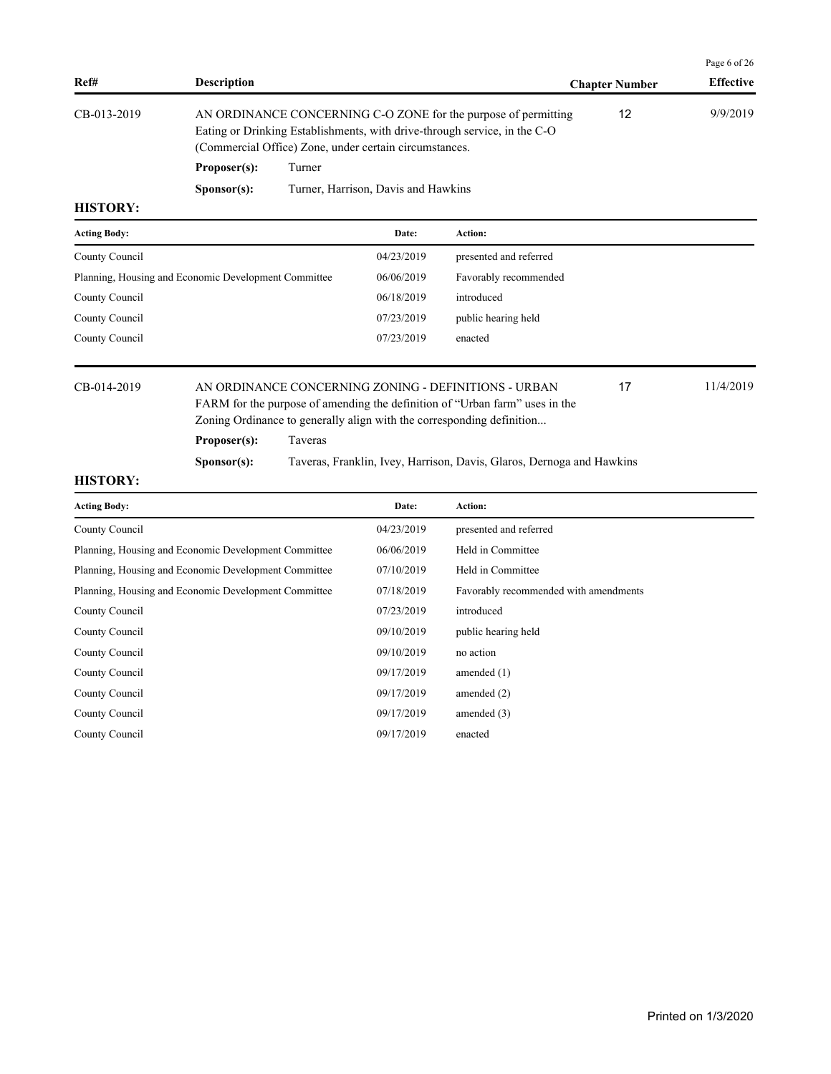|                     |                                                      |         |                                                        |                                                                                                                                                                                                              |                       | Page 6 of 26     |
|---------------------|------------------------------------------------------|---------|--------------------------------------------------------|--------------------------------------------------------------------------------------------------------------------------------------------------------------------------------------------------------------|-----------------------|------------------|
| Ref#                | <b>Description</b>                                   |         |                                                        |                                                                                                                                                                                                              | <b>Chapter Number</b> | <b>Effective</b> |
| CB-013-2019         |                                                      |         | (Commercial Office) Zone, under certain circumstances. | AN ORDINANCE CONCERNING C-O ZONE for the purpose of permitting<br>Eating or Drinking Establishments, with drive-through service, in the C-O                                                                  | 12                    | 9/9/2019         |
|                     | Proposer(s):                                         | Turner  |                                                        |                                                                                                                                                                                                              |                       |                  |
|                     | S <b>p</b> onsor(s):                                 |         | Turner, Harrison, Davis and Hawkins                    |                                                                                                                                                                                                              |                       |                  |
| <b>HISTORY:</b>     |                                                      |         |                                                        |                                                                                                                                                                                                              |                       |                  |
| <b>Acting Body:</b> |                                                      |         | Date:                                                  | <b>Action:</b>                                                                                                                                                                                               |                       |                  |
| County Council      |                                                      |         | 04/23/2019                                             | presented and referred                                                                                                                                                                                       |                       |                  |
|                     | Planning, Housing and Economic Development Committee |         | 06/06/2019                                             | Favorably recommended                                                                                                                                                                                        |                       |                  |
| County Council      |                                                      |         | 06/18/2019                                             | introduced                                                                                                                                                                                                   |                       |                  |
| County Council      |                                                      |         | 07/23/2019                                             | public hearing held                                                                                                                                                                                          |                       |                  |
| County Council      |                                                      |         | 07/23/2019                                             | enacted                                                                                                                                                                                                      |                       |                  |
| CB-014-2019         |                                                      |         |                                                        | AN ORDINANCE CONCERNING ZONING - DEFINITIONS - URBAN<br>FARM for the purpose of amending the definition of "Urban farm" uses in the<br>Zoning Ordinance to generally align with the corresponding definition | 17                    | 11/4/2019        |
|                     | Proposer(s):                                         | Taveras |                                                        |                                                                                                                                                                                                              |                       |                  |
|                     | S <b>p</b> onsor(s):                                 |         |                                                        | Taveras, Franklin, Ivey, Harrison, Davis, Glaros, Dernoga and Hawkins                                                                                                                                        |                       |                  |
| <b>HISTORY:</b>     |                                                      |         |                                                        |                                                                                                                                                                                                              |                       |                  |
| <b>Acting Body:</b> |                                                      |         | Date:                                                  | Action:                                                                                                                                                                                                      |                       |                  |
| County Council      |                                                      |         | 04/23/2019                                             | presented and referred                                                                                                                                                                                       |                       |                  |
|                     | Planning, Housing and Economic Development Committee |         | 06/06/2019                                             | Held in Committee                                                                                                                                                                                            |                       |                  |
|                     | Planning, Housing and Economic Development Committee |         | 07/10/2019                                             | Held in Committee                                                                                                                                                                                            |                       |                  |
|                     | Planning, Housing and Economic Development Committee |         | 07/18/2019                                             | Favorably recommended with amendments                                                                                                                                                                        |                       |                  |
| County Council      |                                                      |         | 07/23/2019                                             | introduced                                                                                                                                                                                                   |                       |                  |
| County Council      |                                                      |         | 09/10/2019                                             | public hearing held                                                                                                                                                                                          |                       |                  |
| County Council      |                                                      |         | 09/10/2019                                             | no action                                                                                                                                                                                                    |                       |                  |
| County Council      |                                                      |         | 09/17/2019                                             | amended $(1)$                                                                                                                                                                                                |                       |                  |
| County Council      |                                                      |         | 09/17/2019                                             | amended $(2)$                                                                                                                                                                                                |                       |                  |
| County Council      |                                                      |         | 09/17/2019                                             | amended $(3)$                                                                                                                                                                                                |                       |                  |
| County Council      |                                                      |         | 09/17/2019                                             | enacted                                                                                                                                                                                                      |                       |                  |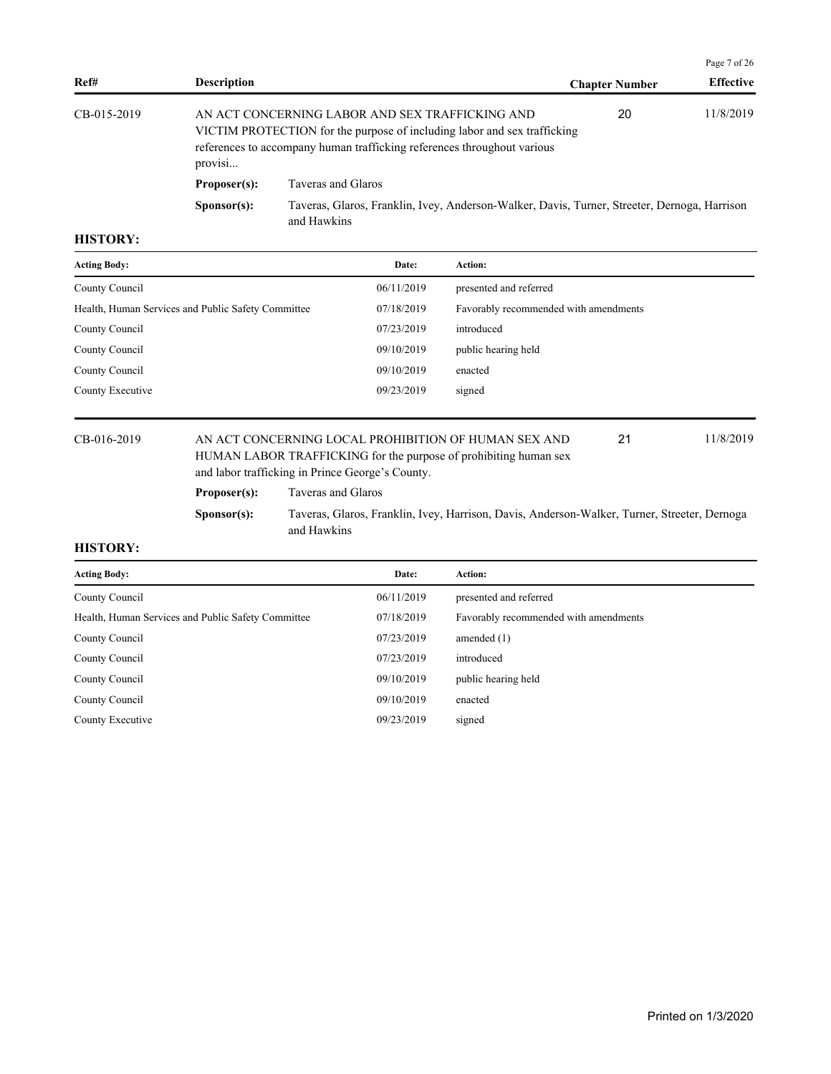|             |                      |                                                                                                                                                                                                        |                       | Page 7 of 26     |
|-------------|----------------------|--------------------------------------------------------------------------------------------------------------------------------------------------------------------------------------------------------|-----------------------|------------------|
| Ref#        | <b>Description</b>   |                                                                                                                                                                                                        | <b>Chapter Number</b> | <b>Effective</b> |
| CB-015-2019 | provisi              | AN ACT CONCERNING LABOR AND SEX TRAFFICKING AND<br>VICTIM PROTECTION for the purpose of including labor and sex trafficking<br>references to accompany human trafficking references throughout various | 20                    | 11/8/2019        |
|             | Proposer(s):         | Taveras and Glaros                                                                                                                                                                                     |                       |                  |
|             | S <b>p</b> onsor(s): | Taveras, Glaros, Franklin, Ivey, Anderson-Walker, Davis, Turner, Streeter, Dernoga, Harrison<br>and Hawkins                                                                                            |                       |                  |

| <b>Acting Body:</b>                                | Date:      | Action:                               |
|----------------------------------------------------|------------|---------------------------------------|
| County Council                                     | 06/11/2019 | presented and referred                |
| Health, Human Services and Public Safety Committee | 07/18/2019 | Favorably recommended with amendments |
| County Council                                     | 07/23/2019 | introduced                            |
| County Council                                     | 09/10/2019 | public hearing held                   |
| County Council                                     | 09/10/2019 | enacted                               |
| County Executive                                   | 09/23/2019 | signed                                |
|                                                    |            |                                       |

### CB-016-2019 AN ACT CONCERNING LOCAL PROHIBITION OF HUMAN SEX AND 21 11/8/2019 HUMAN LABOR TRAFFICKING for the purpose of prohibiting human sex and labor trafficking in Prince George's County. 21

# **Proposer(s):** Taveras and Glaros

**Sponsor(s):** Taveras, Glaros, Franklin, Ivey, Harrison, Davis, Anderson-Walker, Turner, Streeter, Dernoga and Hawkins

| <b>Acting Body:</b>                                | Date:      | <b>Action:</b>                        |
|----------------------------------------------------|------------|---------------------------------------|
| County Council                                     | 06/11/2019 | presented and referred                |
| Health, Human Services and Public Safety Committee | 07/18/2019 | Favorably recommended with amendments |
| County Council                                     | 07/23/2019 | amended $(1)$                         |
| County Council                                     | 07/23/2019 | introduced                            |
| County Council                                     | 09/10/2019 | public hearing held                   |
| County Council                                     | 09/10/2019 | enacted                               |
| County Executive                                   | 09/23/2019 | signed                                |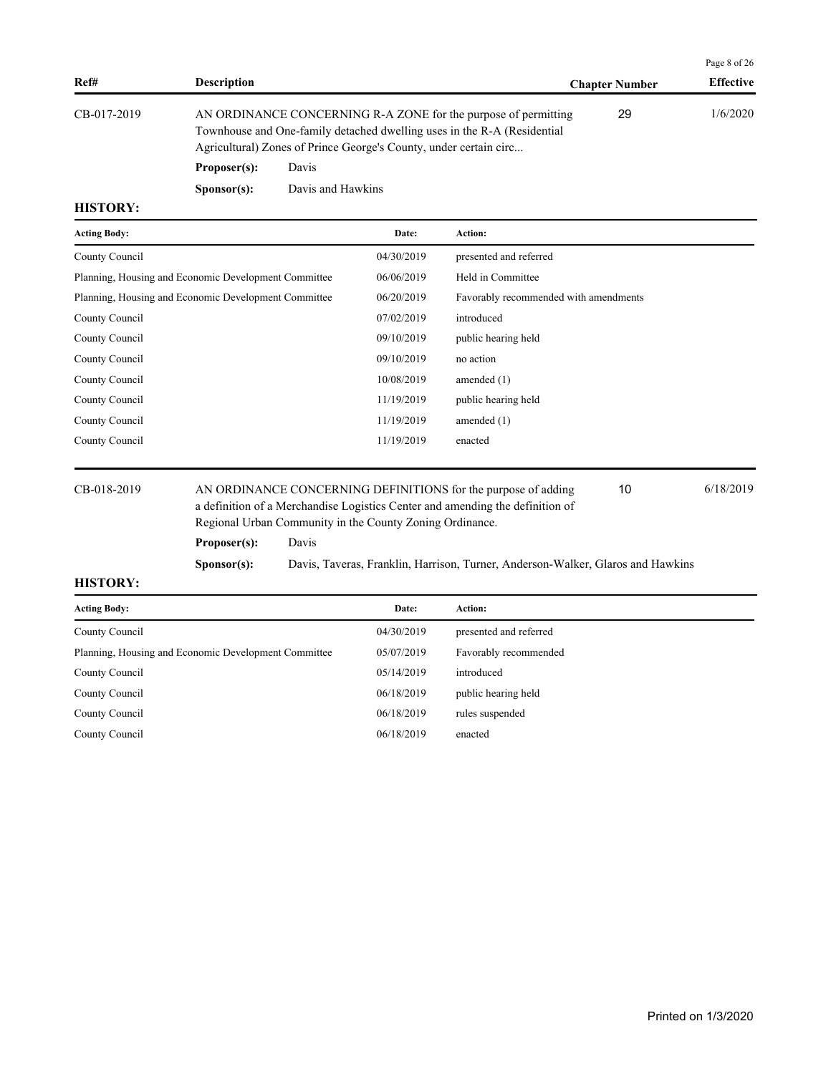|             |                    |                                                                                                                                                                                                                |                       | Page 8 of 26     |
|-------------|--------------------|----------------------------------------------------------------------------------------------------------------------------------------------------------------------------------------------------------------|-----------------------|------------------|
| Ref#        | <b>Description</b> |                                                                                                                                                                                                                | <b>Chapter Number</b> | <b>Effective</b> |
| CB-017-2019 |                    | AN ORDINANCE CONCERNING R-A ZONE for the purpose of permitting<br>Townhouse and One-family detached dwelling uses in the R-A (Residential<br>Agricultural) Zones of Prince George's County, under certain circ | 29                    | 1/6/2020         |
|             | Proposer(s):       | Davis                                                                                                                                                                                                          |                       |                  |

**Sponsor(s):** Davis and Hawkins

### **HISTORY:**

| <b>Acting Body:</b>                                                          | Date:      | Action:                               |
|------------------------------------------------------------------------------|------------|---------------------------------------|
| County Council                                                               | 04/30/2019 | presented and referred                |
| Planning, Housing and Economic Development Committee                         | 06/06/2019 | Held in Committee                     |
| Planning, Housing and Economic Development Committee                         | 06/20/2019 | Favorably recommended with amendments |
| County Council                                                               | 07/02/2019 | introduced                            |
| County Council                                                               | 09/10/2019 | public hearing held                   |
| County Council                                                               | 09/10/2019 | no action                             |
| County Council                                                               | 10/08/2019 | amended $(1)$                         |
| County Council                                                               | 11/19/2019 | public hearing held                   |
| County Council                                                               | 11/19/2019 | amended $(1)$                         |
| County Council                                                               | 11/19/2019 | enacted                               |
|                                                                              |            |                                       |
| AN ORDINANCE CONCERNING DEFINITIONS for the purpose of adding<br>CB-018-2019 |            | 6/18/2019<br>10                       |

| CB-018-2019 |
|-------------|
|-------------|

AN ORDINANCE CONCERNING DEFINITIONS for the purpose of adding  $6/18/2019$ a definition of a Merchandise Logistics Center and amending the definition of Regional Urban Community in the County Zoning Ordinance. **Proposer(s):** Davis

**Sponsor(s):** Davis, Taveras, Franklin, Harrison, Turner, Anderson-Walker, Glaros and Hawkins

| <b>Acting Body:</b>                                  | Date:      | <b>Action:</b>         |
|------------------------------------------------------|------------|------------------------|
| County Council                                       | 04/30/2019 | presented and referred |
| Planning, Housing and Economic Development Committee | 05/07/2019 | Favorably recommended  |
| County Council                                       | 05/14/2019 | introduced             |
| County Council                                       | 06/18/2019 | public hearing held    |
| County Council                                       | 06/18/2019 | rules suspended        |
| County Council                                       | 06/18/2019 | enacted                |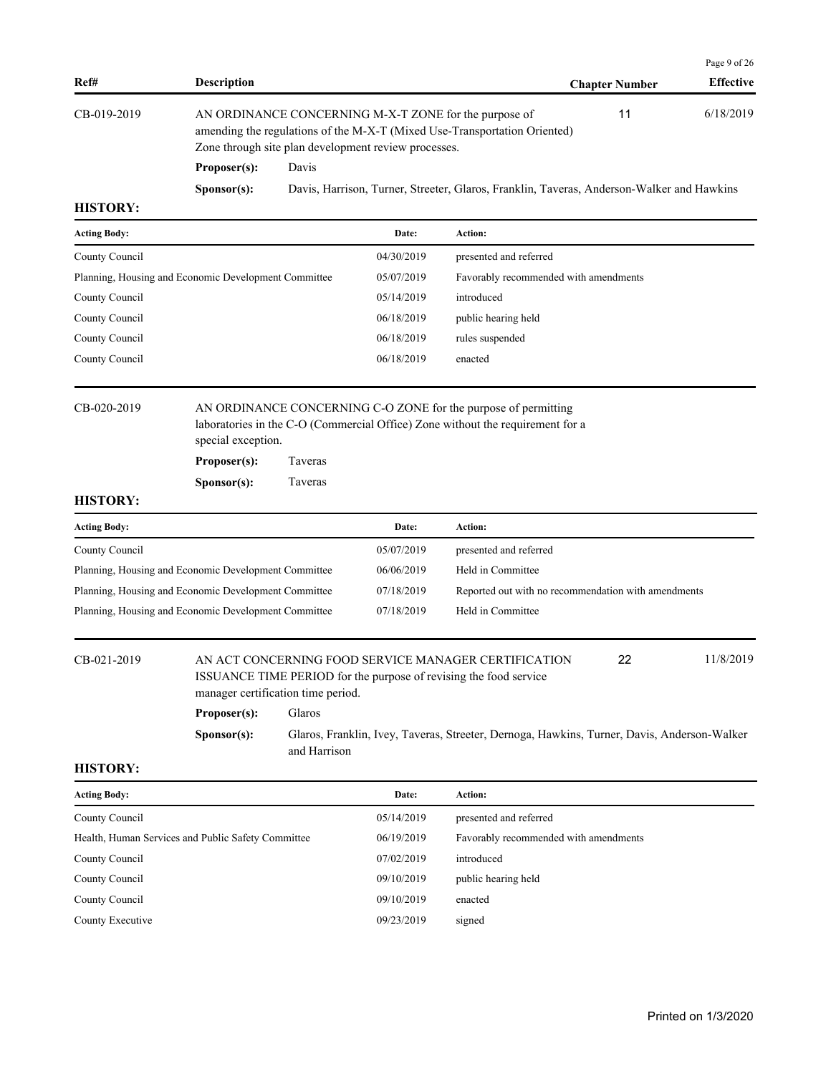|                       |                      |                                                                                                                                                                                            |                       | Page 9 of 26     |
|-----------------------|----------------------|--------------------------------------------------------------------------------------------------------------------------------------------------------------------------------------------|-----------------------|------------------|
| Ref#                  | <b>Description</b>   |                                                                                                                                                                                            | <b>Chapter Number</b> | <b>Effective</b> |
| CB-019-2019           |                      | AN ORDINANCE CONCERNING M-X-T ZONE for the purpose of<br>amending the regulations of the M-X-T (Mixed Use-Transportation Oriented)<br>Zone through site plan development review processes. | 11                    | 6/18/2019        |
| Proposer(s):<br>Davis |                      |                                                                                                                                                                                            |                       |                  |
|                       | S <b>p</b> onsor(s): | Davis, Harrison, Turner, Streeter, Glaros, Franklin, Taveras, Anderson-Walker and Hawkins                                                                                                  |                       |                  |

| <b>Acting Body:</b>                                  | Date:      | Action:                               |
|------------------------------------------------------|------------|---------------------------------------|
| County Council                                       | 04/30/2019 | presented and referred                |
| Planning, Housing and Economic Development Committee | 05/07/2019 | Favorably recommended with amendments |
| County Council                                       | 05/14/2019 | introduced                            |
| County Council                                       | 06/18/2019 | public hearing held                   |
| County Council                                       | 06/18/2019 | rules suspended                       |
| County Council                                       | 06/18/2019 | enacted                               |
|                                                      |            |                                       |

CB-020-2019 AN ORDINANCE CONCERNING C-O ZONE for the purpose of permitting laboratories in the C-O (Commercial Office) Zone without the requirement for a special exception.

**Proposer(s):** Taveras

**Sponsor(s):** Taveras

# **HISTORY:**

| <b>Acting Body:</b>                                  | Date:      | Action:                                             |
|------------------------------------------------------|------------|-----------------------------------------------------|
| County Council                                       | 05/07/2019 | presented and referred                              |
| Planning, Housing and Economic Development Committee | 06/06/2019 | Held in Committee                                   |
| Planning, Housing and Economic Development Committee | 07/18/2019 | Reported out with no recommendation with amendments |
| Planning, Housing and Economic Development Committee | 07/18/2019 | Held in Committee                                   |

CB-021-2019 AN ACT CONCERNING FOOD SERVICE MANAGER CERTIFICATION 22 11/8/2019

ISSUANCE TIME PERIOD for the purpose of revising the food service manager certification time period.

22

**Proposer(s):** Glaros

**Sponsor(s):** Glaros, Franklin, Ivey, Taveras, Streeter, Dernoga, Hawkins, Turner, Davis, Anderson-Walker and Harrison

| <b>Acting Body:</b>                                | Date:      | Action:                               |
|----------------------------------------------------|------------|---------------------------------------|
| County Council                                     | 05/14/2019 | presented and referred                |
| Health, Human Services and Public Safety Committee | 06/19/2019 | Favorably recommended with amendments |
| County Council                                     | 07/02/2019 | introduced                            |
| County Council                                     | 09/10/2019 | public hearing held                   |
| County Council                                     | 09/10/2019 | enacted                               |
| County Executive                                   | 09/23/2019 | signed                                |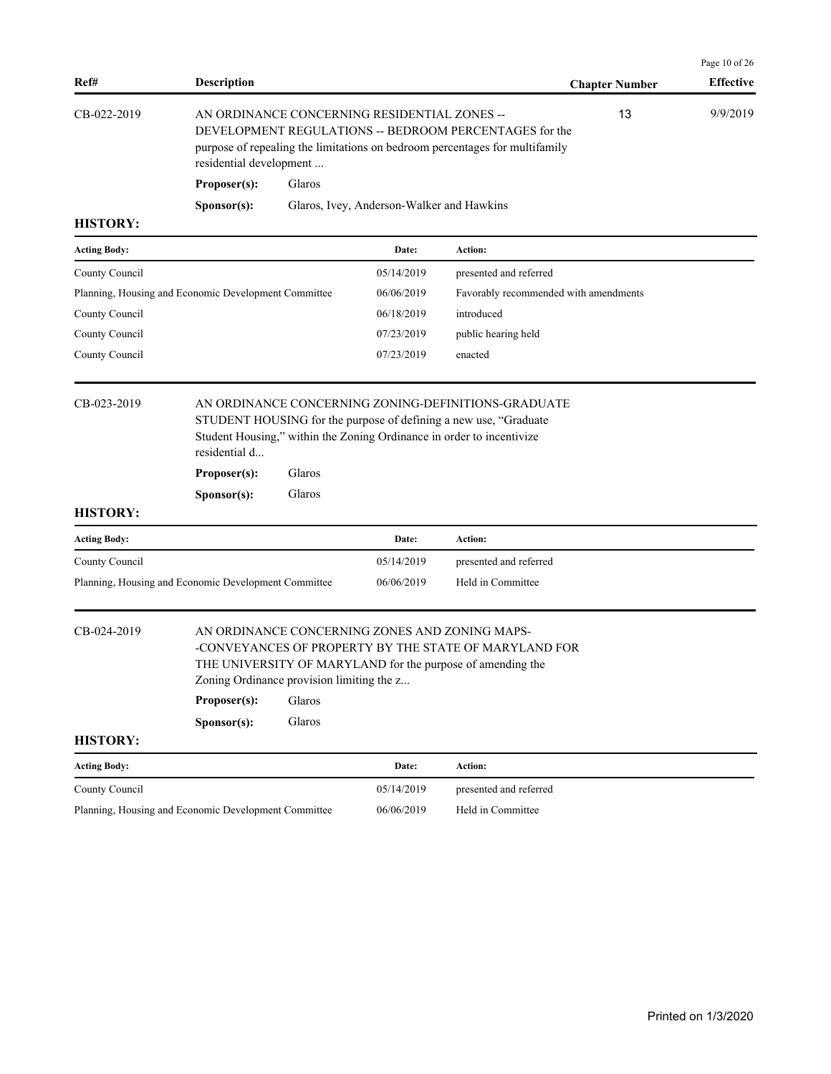| <b>Description</b>                                                                                                                                                                  |                                              | <b>Chapter Number</b>                                                                                                                                                 | Page 10 of 26<br><b>Effective</b>                                                                                                                                                                                                                                                                                                                                                            |
|-------------------------------------------------------------------------------------------------------------------------------------------------------------------------------------|----------------------------------------------|-----------------------------------------------------------------------------------------------------------------------------------------------------------------------|----------------------------------------------------------------------------------------------------------------------------------------------------------------------------------------------------------------------------------------------------------------------------------------------------------------------------------------------------------------------------------------------|
|                                                                                                                                                                                     | AN ORDINANCE CONCERNING RESIDENTIAL ZONES -- |                                                                                                                                                                       |                                                                                                                                                                                                                                                                                                                                                                                              |
| Proposer(s):                                                                                                                                                                        |                                              |                                                                                                                                                                       |                                                                                                                                                                                                                                                                                                                                                                                              |
| S <b>p</b> onsor(s):                                                                                                                                                                |                                              |                                                                                                                                                                       |                                                                                                                                                                                                                                                                                                                                                                                              |
|                                                                                                                                                                                     |                                              |                                                                                                                                                                       |                                                                                                                                                                                                                                                                                                                                                                                              |
|                                                                                                                                                                                     | Date:                                        | Action:                                                                                                                                                               |                                                                                                                                                                                                                                                                                                                                                                                              |
|                                                                                                                                                                                     | 05/14/2019                                   | presented and referred                                                                                                                                                |                                                                                                                                                                                                                                                                                                                                                                                              |
|                                                                                                                                                                                     | 06/06/2019                                   | Favorably recommended with amendments                                                                                                                                 |                                                                                                                                                                                                                                                                                                                                                                                              |
|                                                                                                                                                                                     | 06/18/2019                                   | introduced                                                                                                                                                            |                                                                                                                                                                                                                                                                                                                                                                                              |
|                                                                                                                                                                                     | 07/23/2019                                   | public hearing held                                                                                                                                                   |                                                                                                                                                                                                                                                                                                                                                                                              |
|                                                                                                                                                                                     | 07/23/2019                                   | enacted                                                                                                                                                               |                                                                                                                                                                                                                                                                                                                                                                                              |
| residential d<br>Proposer(s):<br>S <b>p</b> onsor(s):                                                                                                                               |                                              |                                                                                                                                                                       |                                                                                                                                                                                                                                                                                                                                                                                              |
|                                                                                                                                                                                     | Date:                                        | Action:                                                                                                                                                               |                                                                                                                                                                                                                                                                                                                                                                                              |
|                                                                                                                                                                                     | 05/14/2019                                   | presented and referred                                                                                                                                                |                                                                                                                                                                                                                                                                                                                                                                                              |
|                                                                                                                                                                                     | 06/06/2019                                   | Held in Committee                                                                                                                                                     |                                                                                                                                                                                                                                                                                                                                                                                              |
|                                                                                                                                                                                     |                                              |                                                                                                                                                                       |                                                                                                                                                                                                                                                                                                                                                                                              |
| AN ORDINANCE CONCERNING ZONES AND ZONING MAPS-<br>THE UNIVERSITY OF MARYLAND for the purpose of amending the<br>Zoning Ordinance provision limiting the z<br>Proposer(s):<br>Glaros |                                              | -CONVEYANCES OF PROPERTY BY THE STATE OF MARYLAND FOR                                                                                                                 |                                                                                                                                                                                                                                                                                                                                                                                              |
| Glaros<br>Sponsor(s):                                                                                                                                                               |                                              |                                                                                                                                                                       |                                                                                                                                                                                                                                                                                                                                                                                              |
|                                                                                                                                                                                     |                                              |                                                                                                                                                                       |                                                                                                                                                                                                                                                                                                                                                                                              |
|                                                                                                                                                                                     | Date:<br>05/14/2019                          | Action:<br>presented and referred                                                                                                                                     |                                                                                                                                                                                                                                                                                                                                                                                              |
|                                                                                                                                                                                     |                                              | residential development<br>Glaros<br>Planning, Housing and Economic Development Committee<br>Glaros<br>Glaros<br>Planning, Housing and Economic Development Committee | 13<br>DEVELOPMENT REGULATIONS -- BEDROOM PERCENTAGES for the<br>purpose of repealing the limitations on bedroom percentages for multifamily<br>Glaros, Ivey, Anderson-Walker and Hawkins<br>AN ORDINANCE CONCERNING ZONING-DEFINITIONS-GRADUATE<br>STUDENT HOUSING for the purpose of defining a new use, "Graduate<br>Student Housing," within the Zoning Ordinance in order to incentivize |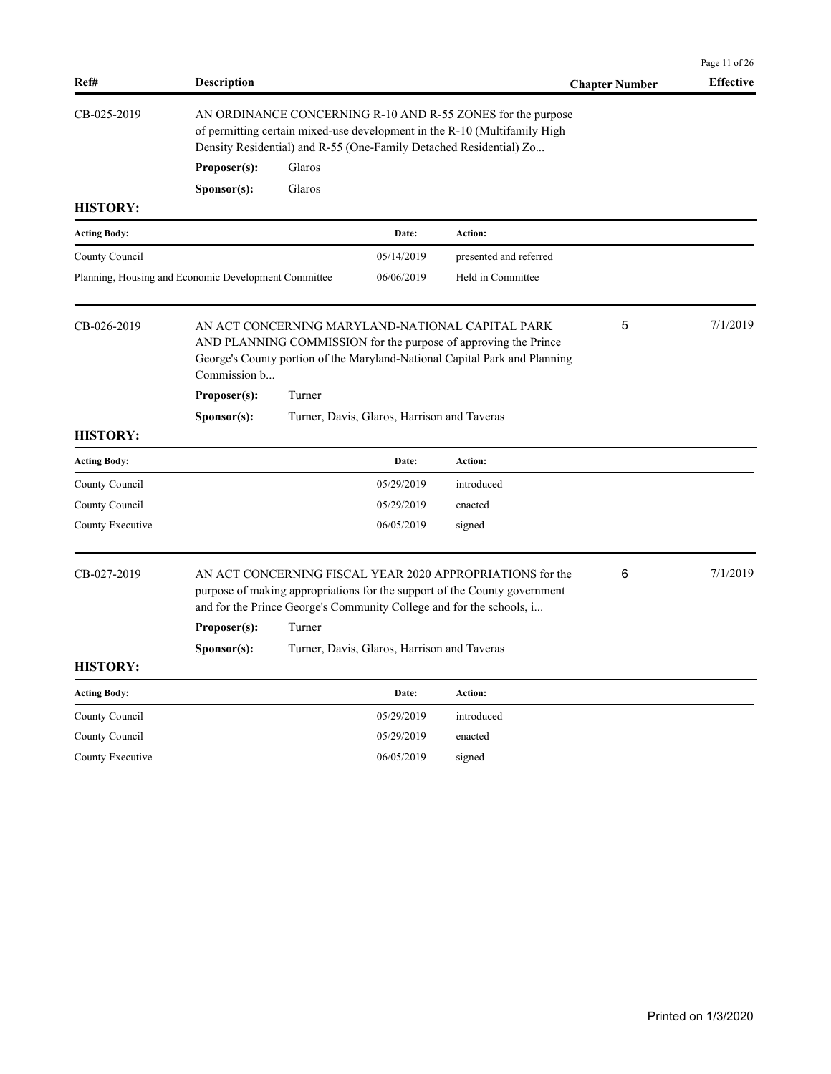|                     |                                                                                                                                                                                                                     |                                                                                                                                                                                                                |                                             |                                                                                                                                                                                                   |                       | Page 11 of 26    |  |
|---------------------|---------------------------------------------------------------------------------------------------------------------------------------------------------------------------------------------------------------------|----------------------------------------------------------------------------------------------------------------------------------------------------------------------------------------------------------------|---------------------------------------------|---------------------------------------------------------------------------------------------------------------------------------------------------------------------------------------------------|-----------------------|------------------|--|
| Ref#                | <b>Description</b>                                                                                                                                                                                                  |                                                                                                                                                                                                                |                                             |                                                                                                                                                                                                   | <b>Chapter Number</b> | <b>Effective</b> |  |
| CB-025-2019         |                                                                                                                                                                                                                     | AN ORDINANCE CONCERNING R-10 AND R-55 ZONES for the purpose<br>of permitting certain mixed-use development in the R-10 (Multifamily High<br>Density Residential) and R-55 (One-Family Detached Residential) Zo |                                             |                                                                                                                                                                                                   |                       |                  |  |
|                     | Proposer(s):                                                                                                                                                                                                        | Glaros                                                                                                                                                                                                         |                                             |                                                                                                                                                                                                   |                       |                  |  |
|                     | Sponsor(s):                                                                                                                                                                                                         | Glaros                                                                                                                                                                                                         |                                             |                                                                                                                                                                                                   |                       |                  |  |
| <b>HISTORY:</b>     |                                                                                                                                                                                                                     |                                                                                                                                                                                                                |                                             |                                                                                                                                                                                                   |                       |                  |  |
| <b>Acting Body:</b> |                                                                                                                                                                                                                     |                                                                                                                                                                                                                | Date:                                       | <b>Action:</b>                                                                                                                                                                                    |                       |                  |  |
| County Council      |                                                                                                                                                                                                                     |                                                                                                                                                                                                                | 05/14/2019                                  | presented and referred                                                                                                                                                                            |                       |                  |  |
|                     | Planning, Housing and Economic Development Committee                                                                                                                                                                |                                                                                                                                                                                                                | 06/06/2019                                  | Held in Committee                                                                                                                                                                                 |                       |                  |  |
| CB-026-2019         | Commission b                                                                                                                                                                                                        |                                                                                                                                                                                                                |                                             | AN ACT CONCERNING MARYLAND-NATIONAL CAPITAL PARK<br>AND PLANNING COMMISSION for the purpose of approving the Prince<br>George's County portion of the Maryland-National Capital Park and Planning | 5                     | 7/1/2019         |  |
|                     | Proposer(s):                                                                                                                                                                                                        | Turner                                                                                                                                                                                                         |                                             |                                                                                                                                                                                                   |                       |                  |  |
|                     | Sponsor(s):                                                                                                                                                                                                         |                                                                                                                                                                                                                | Turner, Davis, Glaros, Harrison and Taveras |                                                                                                                                                                                                   |                       |                  |  |
| <b>HISTORY:</b>     |                                                                                                                                                                                                                     |                                                                                                                                                                                                                |                                             |                                                                                                                                                                                                   |                       |                  |  |
| <b>Acting Body:</b> |                                                                                                                                                                                                                     |                                                                                                                                                                                                                | Date:                                       | <b>Action:</b>                                                                                                                                                                                    |                       |                  |  |
| County Council      |                                                                                                                                                                                                                     |                                                                                                                                                                                                                | 05/29/2019                                  | introduced                                                                                                                                                                                        |                       |                  |  |
| County Council      |                                                                                                                                                                                                                     |                                                                                                                                                                                                                | 05/29/2019                                  | enacted                                                                                                                                                                                           |                       |                  |  |
| County Executive    |                                                                                                                                                                                                                     |                                                                                                                                                                                                                | 06/05/2019                                  | signed                                                                                                                                                                                            |                       |                  |  |
| CB-027-2019         | AN ACT CONCERNING FISCAL YEAR 2020 APPROPRIATIONS for the<br>6<br>purpose of making appropriations for the support of the County government<br>and for the Prince George's Community College and for the schools, i |                                                                                                                                                                                                                |                                             | 7/1/2019                                                                                                                                                                                          |                       |                  |  |
|                     | Proposer(s):                                                                                                                                                                                                        | Turner                                                                                                                                                                                                         |                                             |                                                                                                                                                                                                   |                       |                  |  |
|                     | Sponsor(s):                                                                                                                                                                                                         |                                                                                                                                                                                                                | Turner, Davis, Glaros, Harrison and Taveras |                                                                                                                                                                                                   |                       |                  |  |
| <b>HISTORY:</b>     |                                                                                                                                                                                                                     |                                                                                                                                                                                                                |                                             |                                                                                                                                                                                                   |                       |                  |  |
| <b>Acting Body:</b> |                                                                                                                                                                                                                     |                                                                                                                                                                                                                | Date:                                       | Action:                                                                                                                                                                                           |                       |                  |  |
| County Council      |                                                                                                                                                                                                                     |                                                                                                                                                                                                                | 05/29/2019                                  | introduced                                                                                                                                                                                        |                       |                  |  |
| County Council      |                                                                                                                                                                                                                     |                                                                                                                                                                                                                | 05/29/2019                                  | enacted                                                                                                                                                                                           |                       |                  |  |
| County Executive    |                                                                                                                                                                                                                     |                                                                                                                                                                                                                | 06/05/2019                                  | signed                                                                                                                                                                                            |                       |                  |  |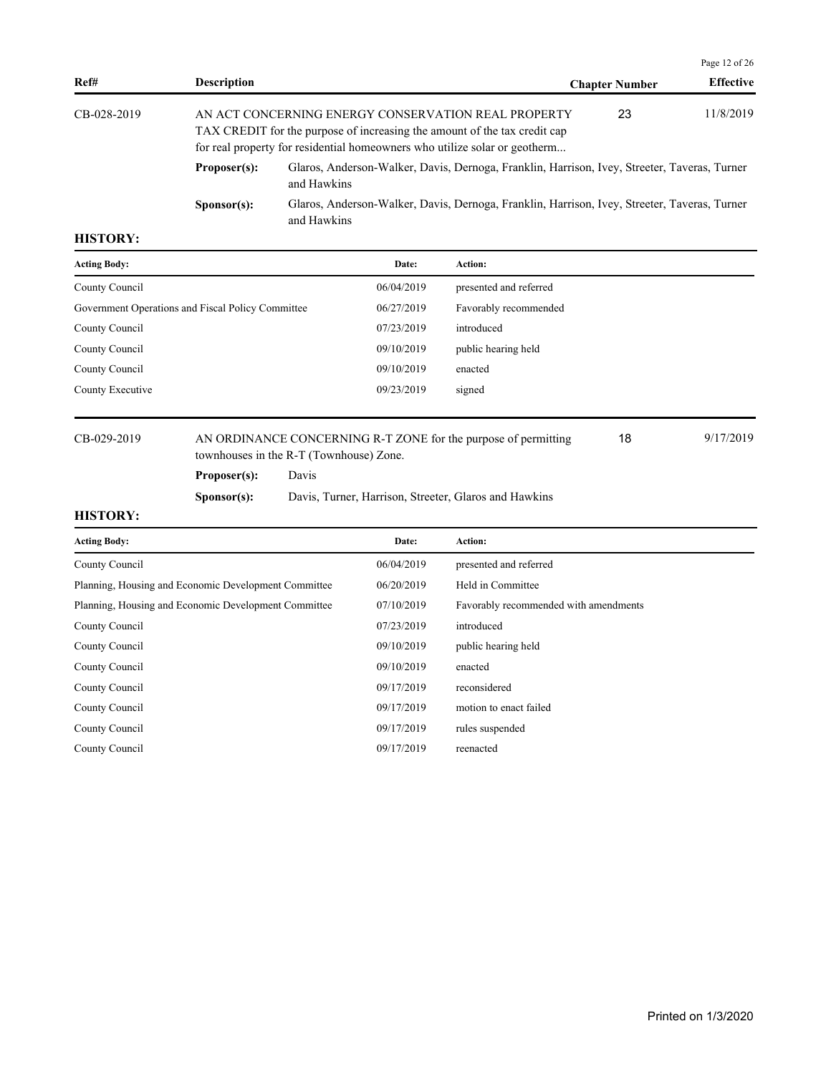| Ref#        | <b>Description</b>   |                                                                                                                                                                                                                | <b>Chapter Number</b> | <b>Effective</b> |
|-------------|----------------------|----------------------------------------------------------------------------------------------------------------------------------------------------------------------------------------------------------------|-----------------------|------------------|
| CB-028-2019 |                      | AN ACT CONCERNING ENERGY CONSERVATION REAL PROPERTY<br>TAX CREDIT for the purpose of increasing the amount of the tax credit cap<br>for real property for residential homeowners who utilize solar or geotherm | 23                    | 11/8/2019        |
|             | Proposer(s):         | Glaros, Anderson-Walker, Davis, Dernoga, Franklin, Harrison, Ivey, Streeter, Taveras, Turner<br>and Hawkins                                                                                                    |                       |                  |
|             | S <b>p</b> onsor(s): | Glaros, Anderson-Walker, Davis, Dernoga, Franklin, Harrison, Ivey, Streeter, Taveras, Turner<br>and Hawkins                                                                                                    |                       |                  |

| <b>Acting Body:</b>                               | Date:      | <b>Action:</b>         |
|---------------------------------------------------|------------|------------------------|
| County Council                                    | 06/04/2019 | presented and referred |
| Government Operations and Fiscal Policy Committee | 06/27/2019 | Favorably recommended  |
| County Council                                    | 07/23/2019 | introduced             |
| County Council                                    | 09/10/2019 | public hearing held    |
| County Council                                    | 09/10/2019 | enacted                |
| County Executive                                  | 09/23/2019 | signed                 |

CB-029-2019 AN ORDINANCE CONCERNING R-T ZONE for the purpose of permitting 18 9/17/2019 townhouses in the R-T (Townhouse) Zone. 18

**Proposer(s):** Davis

**Sponsor(s):** Davis, Turner, Harrison, Streeter, Glaros and Hawkins

# **HISTORY:**

| <b>Acting Body:</b>                                  | Date:      | Action:                               |
|------------------------------------------------------|------------|---------------------------------------|
| County Council                                       | 06/04/2019 | presented and referred                |
| Planning, Housing and Economic Development Committee | 06/20/2019 | Held in Committee                     |
| Planning, Housing and Economic Development Committee | 07/10/2019 | Favorably recommended with amendments |
| County Council                                       | 07/23/2019 | introduced                            |
| County Council                                       | 09/10/2019 | public hearing held                   |
| County Council                                       | 09/10/2019 | enacted                               |
| County Council                                       | 09/17/2019 | reconsidered                          |
| County Council                                       | 09/17/2019 | motion to enact failed                |
| County Council                                       | 09/17/2019 | rules suspended                       |
| County Council                                       | 09/17/2019 | reenacted                             |

Page 12 of 26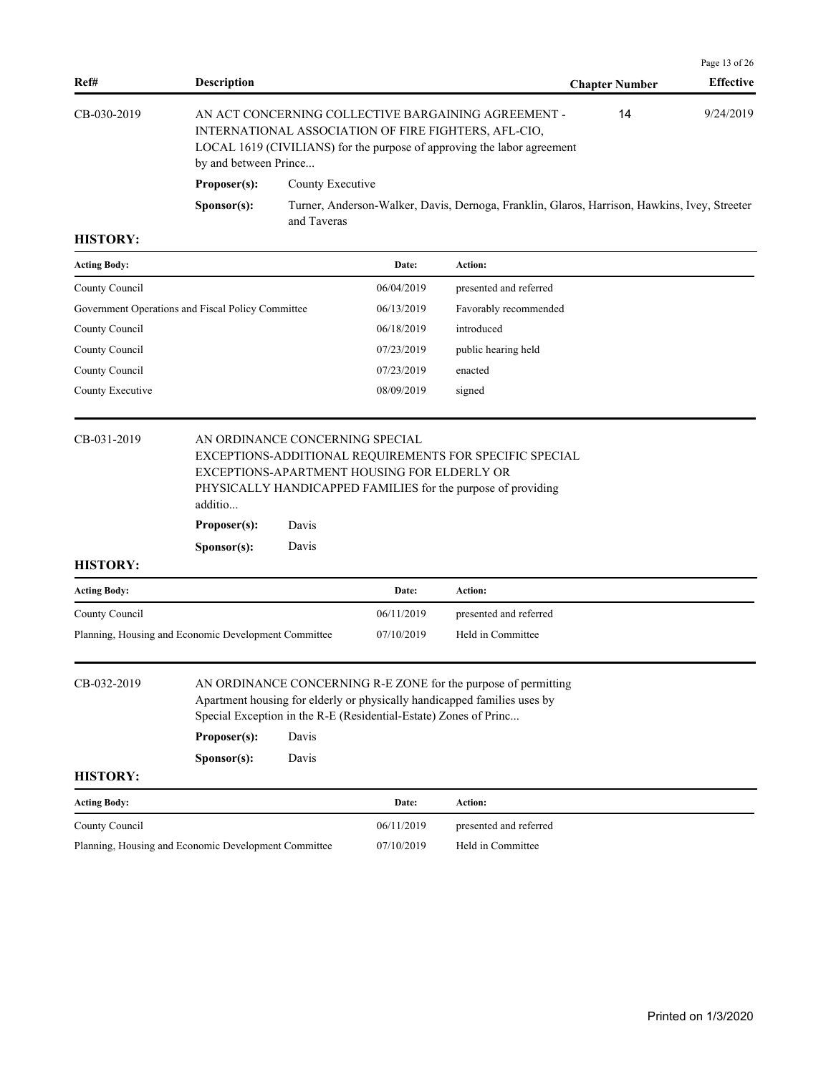|             |                       |                                                                                                                                                                                        |                       | Page 13 of 26    |  |
|-------------|-----------------------|----------------------------------------------------------------------------------------------------------------------------------------------------------------------------------------|-----------------------|------------------|--|
| Ref#        | <b>Description</b>    |                                                                                                                                                                                        | <b>Chapter Number</b> | <b>Effective</b> |  |
| CB-030-2019 | by and between Prince | AN ACT CONCERNING COLLECTIVE BARGAINING AGREEMENT -<br>INTERNATIONAL ASSOCIATION OF FIRE FIGHTERS, AFL-CIO,<br>LOCAL 1619 (CIVILIANS) for the purpose of approving the labor agreement | 14                    | 9/24/2019        |  |
|             | Proposer(s):          | County Executive                                                                                                                                                                       |                       |                  |  |
|             | S <b>p</b> onsor(s):  | Turner, Anderson-Walker, Davis, Dernoga, Franklin, Glaros, Harrison, Hawkins, Ivey, Streeter<br>and Taveras                                                                            |                       |                  |  |

| <b>Acting Body:</b>                               | Date:      | Action:                |
|---------------------------------------------------|------------|------------------------|
| County Council                                    | 06/04/2019 | presented and referred |
| Government Operations and Fiscal Policy Committee | 06/13/2019 | Favorably recommended  |
| County Council                                    | 06/18/2019 | introduced             |
| County Council                                    | 07/23/2019 | public hearing held    |
| County Council                                    | 07/23/2019 | enacted                |
| County Executive                                  | 08/09/2019 | signed                 |

| CB-031-2019         | AN ORDINANCE CONCERNING SPECIAL<br>EXCEPTIONS-ADDITIONAL REQUIREMENTS FOR SPECIFIC SPECIAL<br>EXCEPTIONS-APARTMENT HOUSING FOR ELDERLY OR<br>PHYSICALLY HANDICAPPED FAMILIES for the purpose of providing<br>additio |                         |  |  |  |  |
|---------------------|----------------------------------------------------------------------------------------------------------------------------------------------------------------------------------------------------------------------|-------------------------|--|--|--|--|
|                     | Proposer(s):<br>Davis                                                                                                                                                                                                |                         |  |  |  |  |
|                     | S <b>p</b> onsor(s):                                                                                                                                                                                                 | Davis                   |  |  |  |  |
| <b>HISTORY:</b>     |                                                                                                                                                                                                                      |                         |  |  |  |  |
| <b>Acting Body:</b> |                                                                                                                                                                                                                      | <b>Action:</b><br>Date: |  |  |  |  |

| <b>Acting Body:</b>                                  | <b>Date:</b> | Action:                |
|------------------------------------------------------|--------------|------------------------|
| County Council                                       | 06/11/2019   | presented and referred |
| Planning, Housing and Economic Development Committee | 07/10/2019   | Held in Committee      |
|                                                      |              |                        |

CB-032-2019 AN ORDINANCE CONCERNING R-E ZONE for the purpose of permitting Apartment housing for elderly or physically handicapped families uses by Special Exception in the R-E (Residential-Estate) Zones of Princ... **Proposer(s):** Davis

**Sponsor(s):** Davis

| <b>Acting Body:</b>                                  | Date:      | Action:                |
|------------------------------------------------------|------------|------------------------|
| County Council                                       | 06/11/2019 | presented and referred |
| Planning, Housing and Economic Development Committee | 07/10/2019 | Held in Committee      |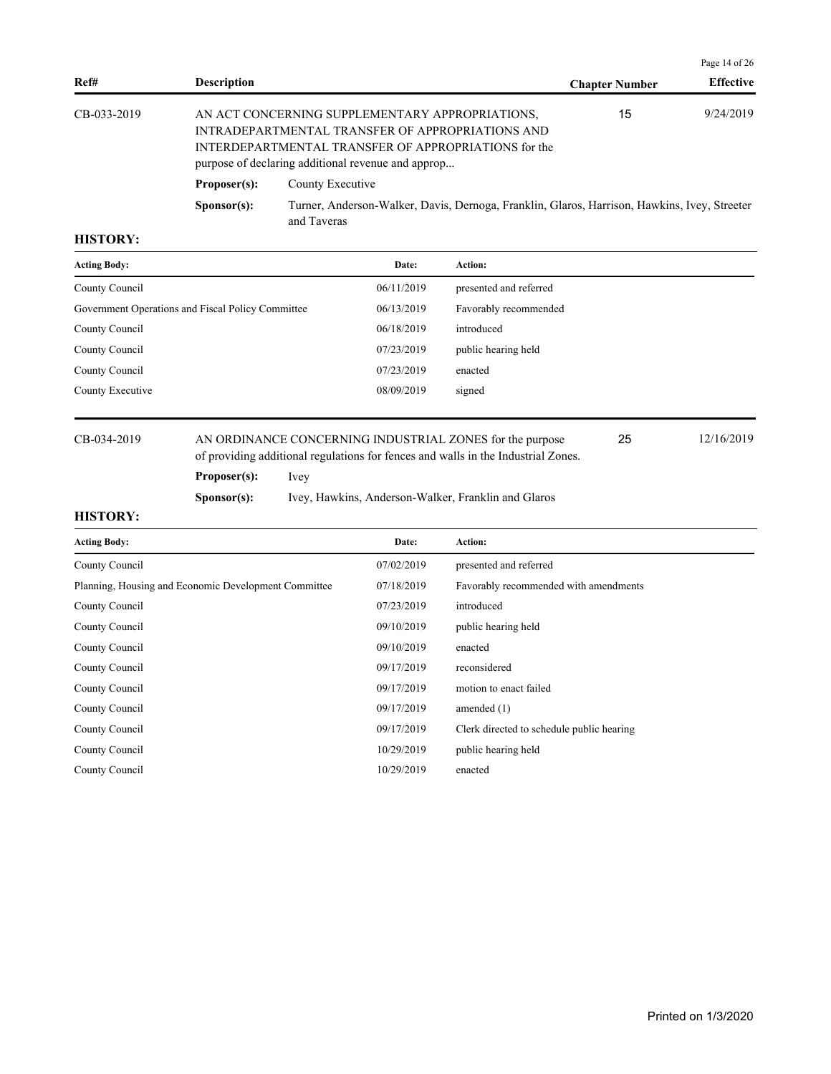|                |                      |                                                                                                                                                                                                                   |                       | Page 14 of $26$  |  |
|----------------|----------------------|-------------------------------------------------------------------------------------------------------------------------------------------------------------------------------------------------------------------|-----------------------|------------------|--|
| Ref#           | <b>Description</b>   |                                                                                                                                                                                                                   | <b>Chapter Number</b> | <b>Effective</b> |  |
| $CB-0.33-2019$ |                      | AN ACT CONCERNING SUPPLEMENTARY APPROPRIATIONS,<br>INTRADEPARTMENTAL TRANSFER OF APPROPRIATIONS AND<br>INTERDEPARTMENTAL TRANSFER OF APPROPRIATIONS for the<br>purpose of declaring additional revenue and approp | 15                    | 9/24/2019        |  |
|                | Proposer(s):         | County Executive                                                                                                                                                                                                  |                       |                  |  |
|                | S <b>p</b> onsor(s): | Turner, Anderson-Walker, Davis, Dernoga, Franklin, Glaros, Harrison, Hawkins, Ivey, Streeter<br>and Taveras                                                                                                       |                       |                  |  |

| <b>Acting Body:</b>                               | Date:      | <b>Action:</b>         |
|---------------------------------------------------|------------|------------------------|
| County Council                                    | 06/11/2019 | presented and referred |
| Government Operations and Fiscal Policy Committee | 06/13/2019 | Favorably recommended  |
| County Council                                    | 06/18/2019 | introduced             |
| County Council                                    | 07/23/2019 | public hearing held    |
| County Council                                    | 07/23/2019 | enacted                |
| County Executive                                  | 08/09/2019 | signed                 |
|                                                   |            |                        |

# CB-034-2019 AN ORDINANCE CONCERNING INDUSTRIAL ZONES for the purpose 12/16/2019

**Proposer(s):** Ivey

**Sponsor(s):** Ivey, Hawkins, Anderson-Walker, Franklin and Glaros

of providing additional regulations for fences and walls in the Industrial Zones.

### **HISTORY:**

| <b>Acting Body:</b>                                  | Date:      | Action:                                   |
|------------------------------------------------------|------------|-------------------------------------------|
| County Council                                       | 07/02/2019 | presented and referred                    |
| Planning, Housing and Economic Development Committee | 07/18/2019 | Favorably recommended with amendments     |
| County Council                                       | 07/23/2019 | introduced                                |
| County Council                                       | 09/10/2019 | public hearing held                       |
| County Council                                       | 09/10/2019 | enacted                                   |
| County Council                                       | 09/17/2019 | reconsidered                              |
| County Council                                       | 09/17/2019 | motion to enact failed                    |
| County Council                                       | 09/17/2019 | amended $(1)$                             |
| County Council                                       | 09/17/2019 | Clerk directed to schedule public hearing |
| County Council                                       | 10/29/2019 | public hearing held                       |
| County Council                                       | 10/29/2019 | enacted                                   |

25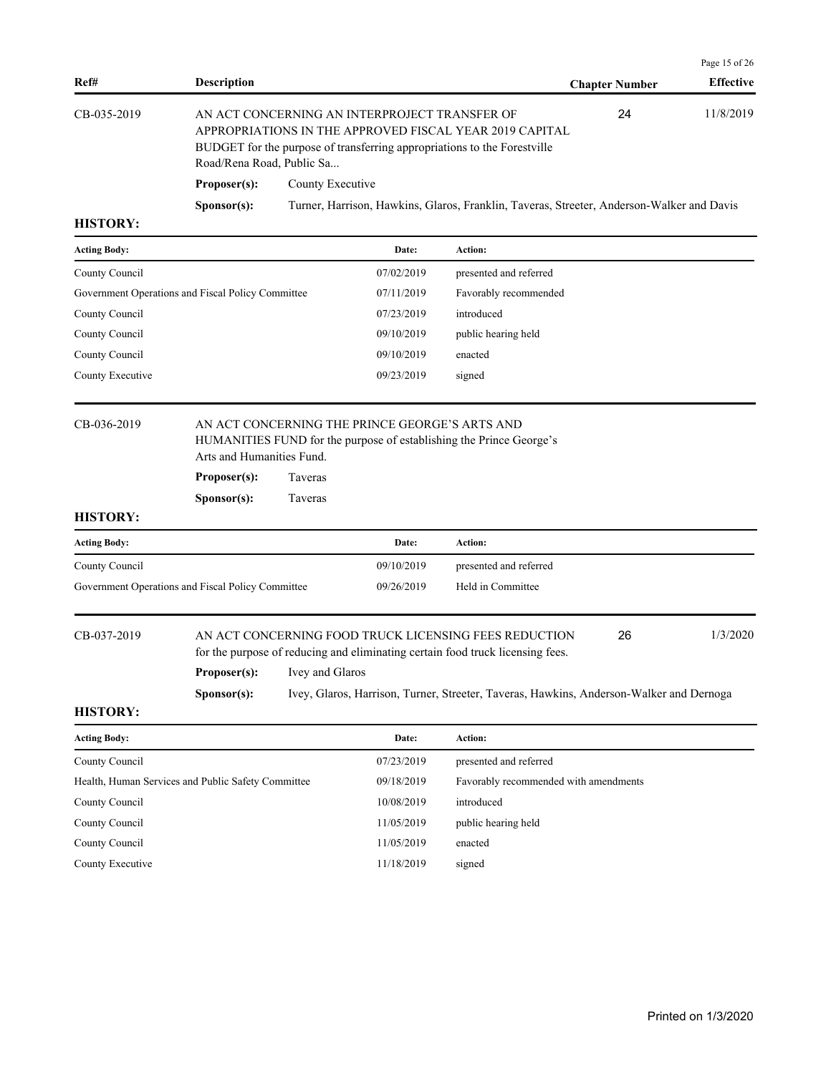|                |                                                                                                                                                                                                                   |                                                                                           |                       | Page 15 of $26$  |
|----------------|-------------------------------------------------------------------------------------------------------------------------------------------------------------------------------------------------------------------|-------------------------------------------------------------------------------------------|-----------------------|------------------|
| Ref#           | <b>Description</b>                                                                                                                                                                                                |                                                                                           | <b>Chapter Number</b> | <b>Effective</b> |
| $CB-0.35-2019$ | AN ACT CONCERNING AN INTERPROJECT TRANSFER OF<br>APPROPRIATIONS IN THE APPROVED FISCAL YEAR 2019 CAPITAL<br>BUDGET for the purpose of transferring appropriations to the Forestville<br>Road/Rena Road, Public Sa |                                                                                           | 24                    | 11/8/2019        |
|                | Proposer(s):                                                                                                                                                                                                      | County Executive                                                                          |                       |                  |
|                | S <b>p</b> onsor(s):                                                                                                                                                                                              | Turner, Harrison, Hawkins, Glaros, Franklin, Taveras, Streeter, Anderson-Walker and Davis |                       |                  |
| TTITQITQINT    |                                                                                                                                                                                                                   |                                                                                           |                       |                  |

| <b>Acting Body:</b>                               | Date:      | <b>Action:</b>         |
|---------------------------------------------------|------------|------------------------|
| County Council                                    | 07/02/2019 | presented and referred |
| Government Operations and Fiscal Policy Committee | 07/11/2019 | Favorably recommended  |
| County Council                                    | 07/23/2019 | introduced             |
| County Council                                    | 09/10/2019 | public hearing held    |
| County Council                                    | 09/10/2019 | enacted                |
| County Executive                                  | 09/23/2019 | signed                 |
|                                                   |            |                        |

# CB-036-2019 AN ACT CONCERNING THE PRINCE GEORGE'S ARTS AND HUMANITIES FUND for the purpose of establishing the Prince George's Arts and Humanities Fund.

**Proposer(s):** Taveras

**Sponsor(s):** Taveras

# **HISTORY:**

| <b>Acting Body:</b>                               | Date:      | <b>Action:</b>         |
|---------------------------------------------------|------------|------------------------|
| County Council                                    | 09/10/2019 | presented and referred |
| Government Operations and Fiscal Policy Committee | 09/26/2019 | Held in Committee      |

# CB-037-2019 AN ACT CONCERNING FOOD TRUCK LICENSING FEES REDUCTION 26 1/3/2020 for the purpose of reducing and eliminating certain food truck licensing fees.

**Proposer(s):** Ivey and Glaros

**Sponsor(s):** Ivey, Glaros, Harrison, Turner, Streeter, Taveras, Hawkins, Anderson-Walker and Dernoga

### **HISTORY:**

| <b>Acting Body:</b>                                | Date:      | Action:                               |
|----------------------------------------------------|------------|---------------------------------------|
| County Council                                     | 07/23/2019 | presented and referred                |
| Health, Human Services and Public Safety Committee | 09/18/2019 | Favorably recommended with amendments |
| County Council                                     | 10/08/2019 | introduced                            |
| County Council                                     | 11/05/2019 | public hearing held                   |
| County Council                                     | 11/05/2019 | enacted                               |
| County Executive                                   | 11/18/2019 | signed                                |

26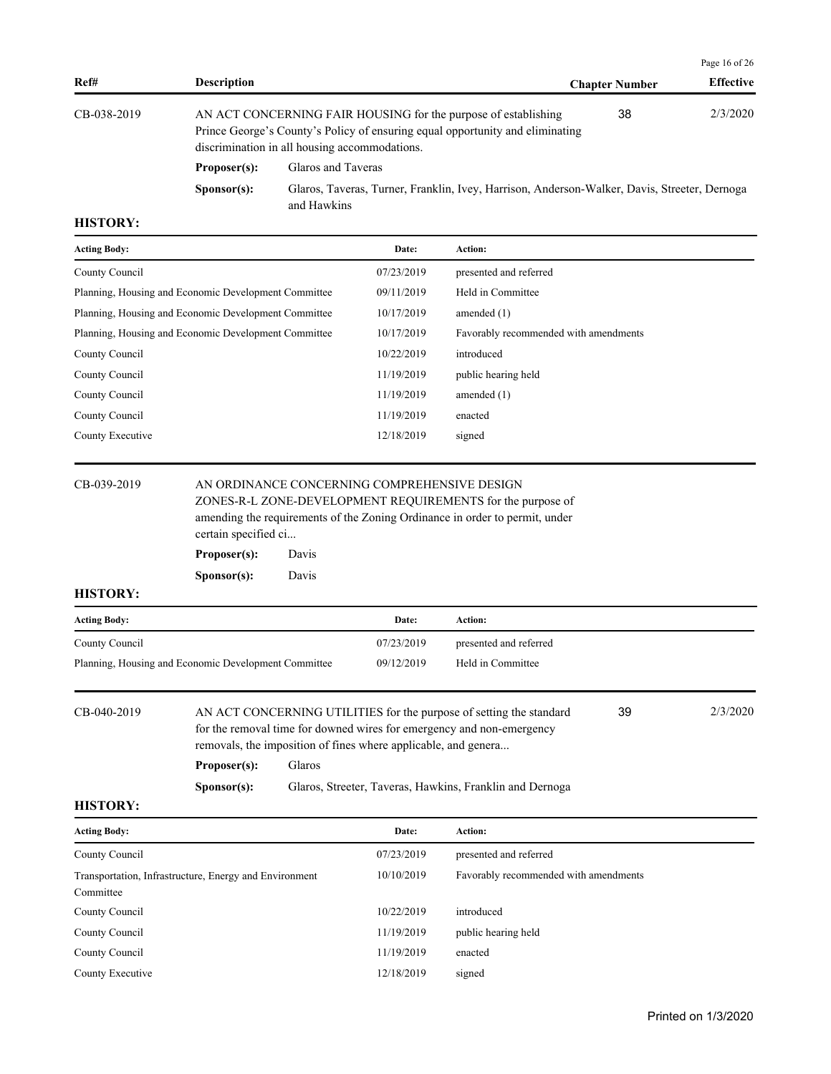|                     |                                                      |                                                                                                                                                                                                  |                                                                                              |                        |                       | Page 16 of $26$  |
|---------------------|------------------------------------------------------|--------------------------------------------------------------------------------------------------------------------------------------------------------------------------------------------------|----------------------------------------------------------------------------------------------|------------------------|-----------------------|------------------|
| Ref#                | <b>Description</b>                                   |                                                                                                                                                                                                  |                                                                                              |                        | <b>Chapter Number</b> | <b>Effective</b> |
| CB-038-2019         |                                                      | AN ACT CONCERNING FAIR HOUSING for the purpose of establishing<br>Prince George's County's Policy of ensuring equal opportunity and eliminating<br>discrimination in all housing accommodations. |                                                                                              |                        |                       | 2/3/2020         |
|                     | Proposer(s):                                         | Glaros and Taveras                                                                                                                                                                               |                                                                                              |                        |                       |                  |
|                     | Sponsor(s):                                          | and Hawkins                                                                                                                                                                                      | Glaros, Taveras, Turner, Franklin, Ivey, Harrison, Anderson-Walker, Davis, Streeter, Dernoga |                        |                       |                  |
| <b>HISTORY:</b>     |                                                      |                                                                                                                                                                                                  |                                                                                              |                        |                       |                  |
| <b>Acting Body:</b> |                                                      |                                                                                                                                                                                                  | Date:                                                                                        | Action:                |                       |                  |
| County Council      |                                                      |                                                                                                                                                                                                  | 07/23/2019                                                                                   | presented and referred |                       |                  |
|                     | Planning, Housing and Economic Development Committee |                                                                                                                                                                                                  | 09/11/2019                                                                                   | Held in Committee      |                       |                  |
|                     | Planning, Housing and Economic Development Committee |                                                                                                                                                                                                  | 10/17/2019                                                                                   | amended $(1)$          |                       |                  |

| 10/17/2019 | Favorably recommended with amendments |
|------------|---------------------------------------|
| 10/22/2019 | introduced                            |
| 11/19/2019 | public hearing held                   |
| 11/19/2019 | amended $(1)$                         |
| 11/19/2019 | enacted                               |
| 12/18/2019 | signed                                |
|            |                                       |

# CB-039-2019 AN ORDINANCE CONCERNING COMPREHENSIVE DESIGN

ZONES-R-L ZONE-DEVELOPMENT REQUIREMENTS for the purpose of amending the requirements of the Zoning Ordinance in order to permit, under certain specified ci...

| Proposer(s):         | Davis |
|----------------------|-------|
| S <b>p</b> onsor(s): | Davis |

# **HISTORY:**

| <b>Acting Body:</b>                                  | Date:      | Action:                |
|------------------------------------------------------|------------|------------------------|
| County Council                                       | 07/23/2019 | presented and referred |
| Planning, Housing and Economic Development Committee | 09/12/2019 | Held in Committee      |

CB-040-2019 AN ACT CONCERNING UTILITIES for the purpose of setting the standard 2/3/2020 for the removal time for downed wires for emergency and non-emergency removals, the imposition of fines where applicable, and genera... 39 **Proposer(s):** Glaros **Sponsor(s):** Glaros, Streeter, Taveras, Hawkins, Franklin and Dernoga

| <b>Acting Body:</b>                                                 | Date:      | <b>Action:</b>                        |
|---------------------------------------------------------------------|------------|---------------------------------------|
| County Council                                                      | 07/23/2019 | presented and referred                |
| Transportation, Infrastructure, Energy and Environment<br>Committee | 10/10/2019 | Favorably recommended with amendments |
| County Council                                                      | 10/22/2019 | introduced                            |
| County Council                                                      | 11/19/2019 | public hearing held                   |
| County Council                                                      | 11/19/2019 | enacted                               |
| County Executive                                                    | 12/18/2019 | signed                                |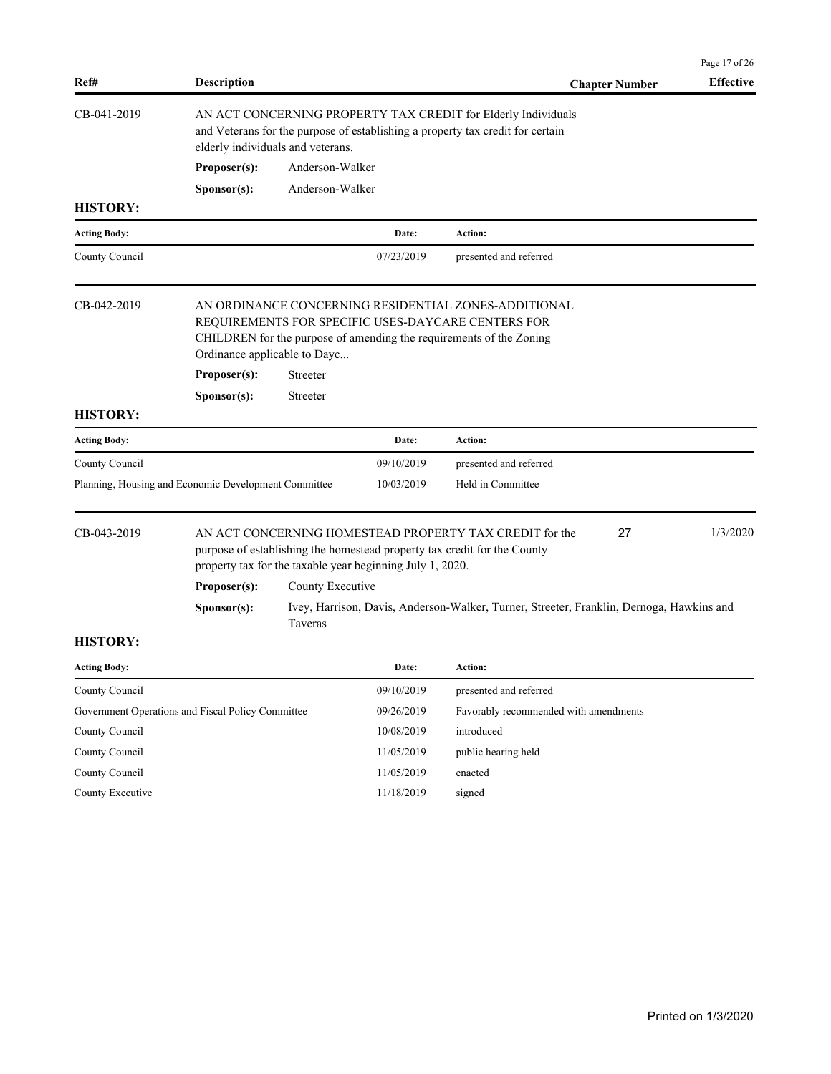| Ref#                | <b>Description</b>                                   |                  |                                                           | <b>Chapter Number</b>                                                                                                                                                             | Page 17 of 26<br><b>Effective</b> |
|---------------------|------------------------------------------------------|------------------|-----------------------------------------------------------|-----------------------------------------------------------------------------------------------------------------------------------------------------------------------------------|-----------------------------------|
| CB-041-2019         | elderly individuals and veterans.                    |                  |                                                           | AN ACT CONCERNING PROPERTY TAX CREDIT for Elderly Individuals<br>and Veterans for the purpose of establishing a property tax credit for certain                                   |                                   |
|                     | Proposer(s):                                         | Anderson-Walker  |                                                           |                                                                                                                                                                                   |                                   |
|                     | Sponsor(s):                                          | Anderson-Walker  |                                                           |                                                                                                                                                                                   |                                   |
| <b>HISTORY:</b>     |                                                      |                  |                                                           |                                                                                                                                                                                   |                                   |
| <b>Acting Body:</b> |                                                      |                  | Date:                                                     | <b>Action:</b>                                                                                                                                                                    |                                   |
| County Council      |                                                      |                  | 07/23/2019                                                | presented and referred                                                                                                                                                            |                                   |
| CB-042-2019         | Ordinance applicable to Dayc<br>Proposer(s):         | Streeter         |                                                           | AN ORDINANCE CONCERNING RESIDENTIAL ZONES-ADDITIONAL<br>REQUIREMENTS FOR SPECIFIC USES-DAYCARE CENTERS FOR<br>CHILDREN for the purpose of amending the requirements of the Zoning |                                   |
|                     | Sponsor(s):                                          | Streeter         |                                                           |                                                                                                                                                                                   |                                   |
| <b>HISTORY:</b>     |                                                      |                  |                                                           |                                                                                                                                                                                   |                                   |
| <b>Acting Body:</b> |                                                      |                  | Date:                                                     | Action:                                                                                                                                                                           |                                   |
| County Council      |                                                      |                  | 09/10/2019                                                | presented and referred                                                                                                                                                            |                                   |
|                     | Planning, Housing and Economic Development Committee |                  | 10/03/2019                                                | Held in Committee                                                                                                                                                                 |                                   |
| CB-043-2019         | Proposer(s):                                         |                  | property tax for the taxable year beginning July 1, 2020. | 27<br>AN ACT CONCERNING HOMESTEAD PROPERTY TAX CREDIT for the<br>purpose of establishing the homestead property tax credit for the County                                         | 1/3/2020                          |
|                     |                                                      | County Executive |                                                           |                                                                                                                                                                                   |                                   |
|                     | Sponsor(s):                                          | Taveras          |                                                           | Ivey, Harrison, Davis, Anderson-Walker, Turner, Streeter, Franklin, Dernoga, Hawkins and                                                                                          |                                   |
| <b>HISTORY:</b>     |                                                      |                  |                                                           |                                                                                                                                                                                   |                                   |
| <b>Acting Body:</b> |                                                      |                  | Date:                                                     | Action:                                                                                                                                                                           |                                   |
| County Council      |                                                      |                  | 09/10/2019                                                | presented and referred                                                                                                                                                            |                                   |
|                     | Government Operations and Fiscal Policy Committee    |                  | 09/26/2019                                                | Favorably recommended with amendments                                                                                                                                             |                                   |
| County Council      |                                                      |                  | 10/08/2019                                                | introduced                                                                                                                                                                        |                                   |
| County Council      |                                                      |                  | 11/05/2019                                                | public hearing held                                                                                                                                                               |                                   |
| County Council      |                                                      |                  | 11/05/2019                                                | enacted                                                                                                                                                                           |                                   |
| County Executive    |                                                      |                  | 11/18/2019                                                | signed                                                                                                                                                                            |                                   |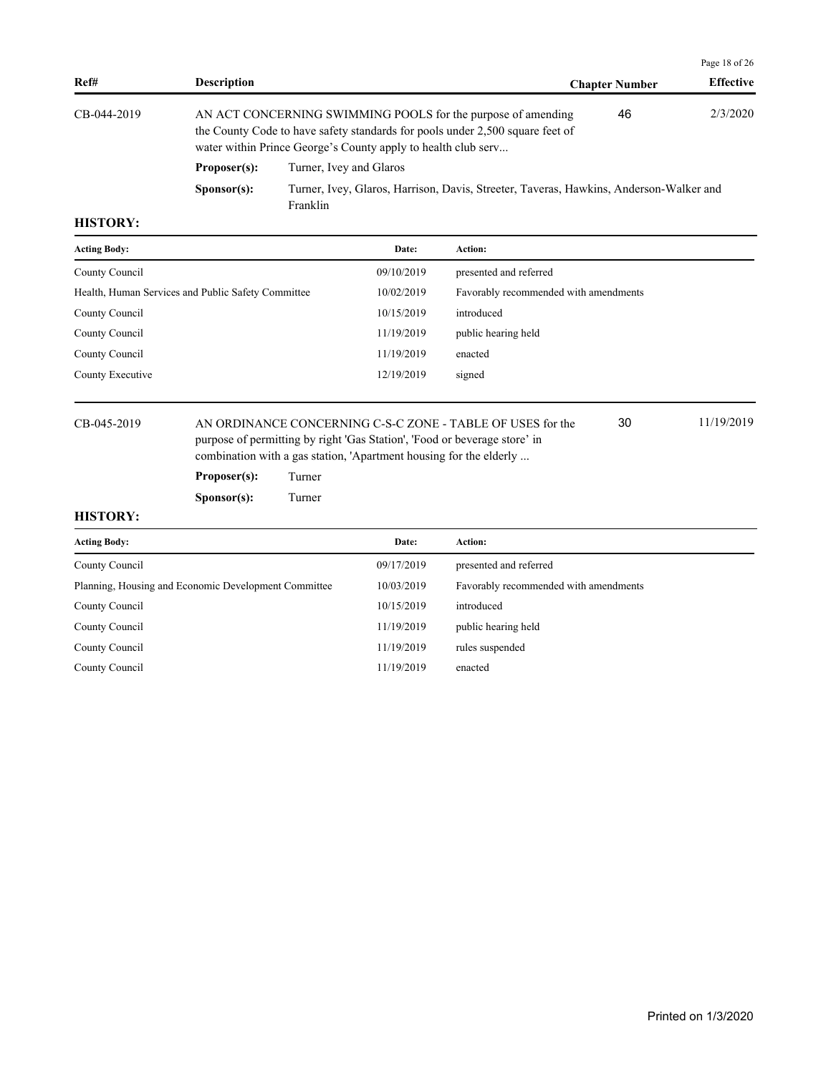| Ref#        | <b>Description</b>   |                                                                                                                                                                                                                | <b>Chapter Number</b> | <b>Effective</b> |
|-------------|----------------------|----------------------------------------------------------------------------------------------------------------------------------------------------------------------------------------------------------------|-----------------------|------------------|
| CB-044-2019 |                      | AN ACT CONCERNING SWIMMING POOLS for the purpose of amending<br>the County Code to have safety standards for pools under 2,500 square feet of<br>water within Prince George's County apply to health club serv | 46                    | 2/3/2020         |
|             | Proposer(s):         | Turner, Ivey and Glaros                                                                                                                                                                                        |                       |                  |
|             | S <b>p</b> onsor(s): | Turner, Ivey, Glaros, Harrison, Davis, Streeter, Taveras, Hawkins, Anderson-Walker and<br>Franklin                                                                                                             |                       |                  |

| <b>Acting Body:</b>                                | Date:      | <b>Action:</b>                        |
|----------------------------------------------------|------------|---------------------------------------|
| County Council                                     | 09/10/2019 | presented and referred                |
| Health, Human Services and Public Safety Committee | 10/02/2019 | Favorably recommended with amendments |
| County Council                                     | 10/15/2019 | introduced                            |
| County Council                                     | 11/19/2019 | public hearing held                   |
| County Council                                     | 11/19/2019 | enacted                               |
| County Executive                                   | 12/19/2019 | signed                                |
|                                                    |            |                                       |

CB-045-2019 AN ORDINANCE CONCERNING C-S-C ZONE - TABLE OF USES for the 11/19/2019 purpose of permitting by right 'Gas Station', 'Food or beverage store' in combination with a gas station, 'Apartment housing for the elderly ... 30

**Proposer(s):** Turner

**Sponsor(s):** Turner

# **HISTORY:**

| <b>Acting Body:</b>                                  | Date:      | <b>Action:</b>                        |
|------------------------------------------------------|------------|---------------------------------------|
| County Council                                       | 09/17/2019 | presented and referred                |
| Planning, Housing and Economic Development Committee | 10/03/2019 | Favorably recommended with amendments |
| County Council                                       | 10/15/2019 | introduced                            |
| County Council                                       | 11/19/2019 | public hearing held                   |
| County Council                                       | 11/19/2019 | rules suspended                       |
| County Council                                       | 11/19/2019 | enacted                               |

Page 18 of 26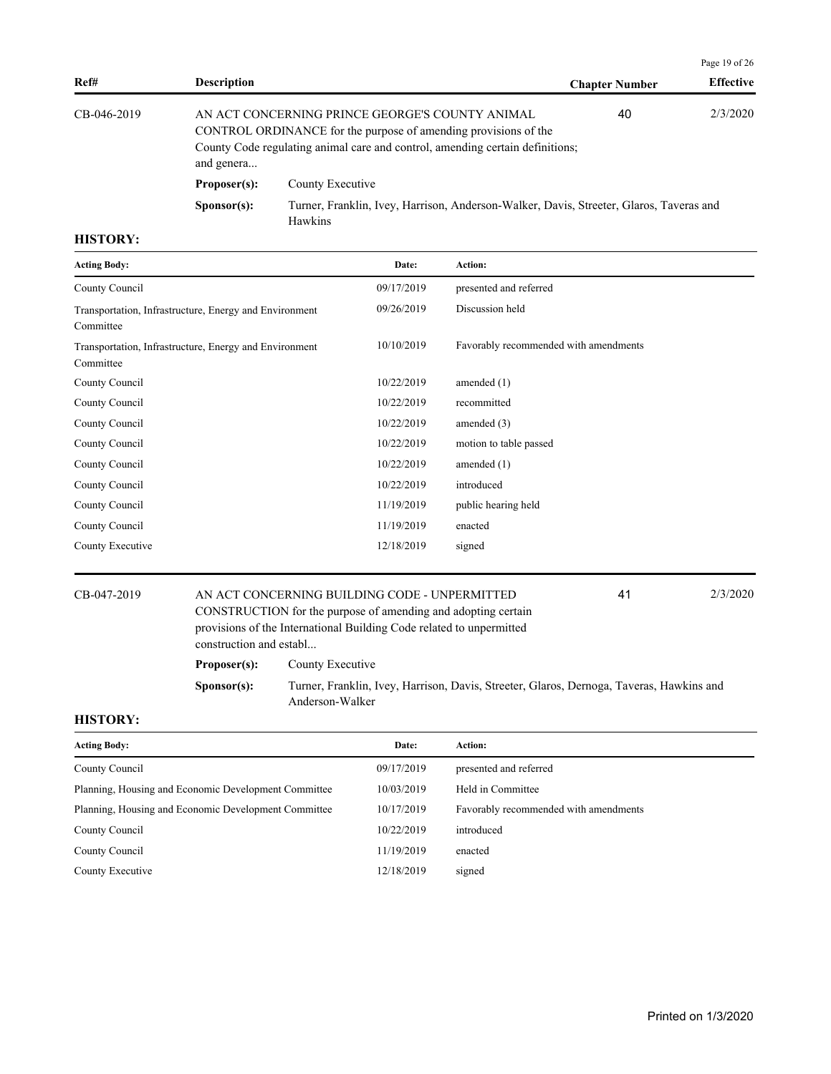|             |                                                                                                                                                                                                                         |                                                                                                    |                       | Page 19 of $26$  |
|-------------|-------------------------------------------------------------------------------------------------------------------------------------------------------------------------------------------------------------------------|----------------------------------------------------------------------------------------------------|-----------------------|------------------|
| Ref#        | <b>Description</b>                                                                                                                                                                                                      |                                                                                                    | <b>Chapter Number</b> | <b>Effective</b> |
| CB-046-2019 | AN ACT CONCERNING PRINCE GEORGE'S COUNTY ANIMAL<br>40<br>CONTROL ORDINANCE for the purpose of amending provisions of the<br>County Code regulating animal care and control, amending certain definitions;<br>and genera |                                                                                                    |                       | 2/3/2020         |
|             | Proposer(s):                                                                                                                                                                                                            | County Executive                                                                                   |                       |                  |
|             | S <b>p</b> onsor(s):                                                                                                                                                                                                    | Turner, Franklin, Ivey, Harrison, Anderson-Walker, Davis, Streeter, Glaros, Taveras and<br>Hawkins |                       |                  |

| <b>Acting Body:</b>                                                 | Date:      | Action:                               |
|---------------------------------------------------------------------|------------|---------------------------------------|
| County Council                                                      | 09/17/2019 | presented and referred                |
| Transportation, Infrastructure, Energy and Environment<br>Committee | 09/26/2019 | Discussion held                       |
| Transportation, Infrastructure, Energy and Environment<br>Committee | 10/10/2019 | Favorably recommended with amendments |
| County Council                                                      | 10/22/2019 | amended $(1)$                         |
| County Council                                                      | 10/22/2019 | recommitted                           |
| County Council                                                      | 10/22/2019 | amended $(3)$                         |
| County Council                                                      | 10/22/2019 | motion to table passed                |
| County Council                                                      | 10/22/2019 | amended $(1)$                         |
| County Council                                                      | 10/22/2019 | introduced                            |
| County Council                                                      | 11/19/2019 | public hearing held                   |
| County Council                                                      | 11/19/2019 | enacted                               |
| County Executive                                                    | 12/18/2019 | signed                                |

CB-047-2019 AN ACT CONCERNING BUILDING CODE - UNPERMITTED 2/3/2020 CONSTRUCTION for the purpose of amending and adopting certain provisions of the International Building Code related to unpermitted construction and establ... 41

Proposer(s): County Executive

**Sponsor(s):** Turner, Franklin, Ivey, Harrison, Davis, Streeter, Glaros, Dernoga, Taveras, Hawkins and Anderson-Walker

| Date:      | Action:                               |
|------------|---------------------------------------|
| 09/17/2019 | presented and referred                |
| 10/03/2019 | Held in Committee                     |
| 10/17/2019 | Favorably recommended with amendments |
| 10/22/2019 | introduced                            |
| 11/19/2019 | enacted                               |
| 12/18/2019 | signed                                |
|            |                                       |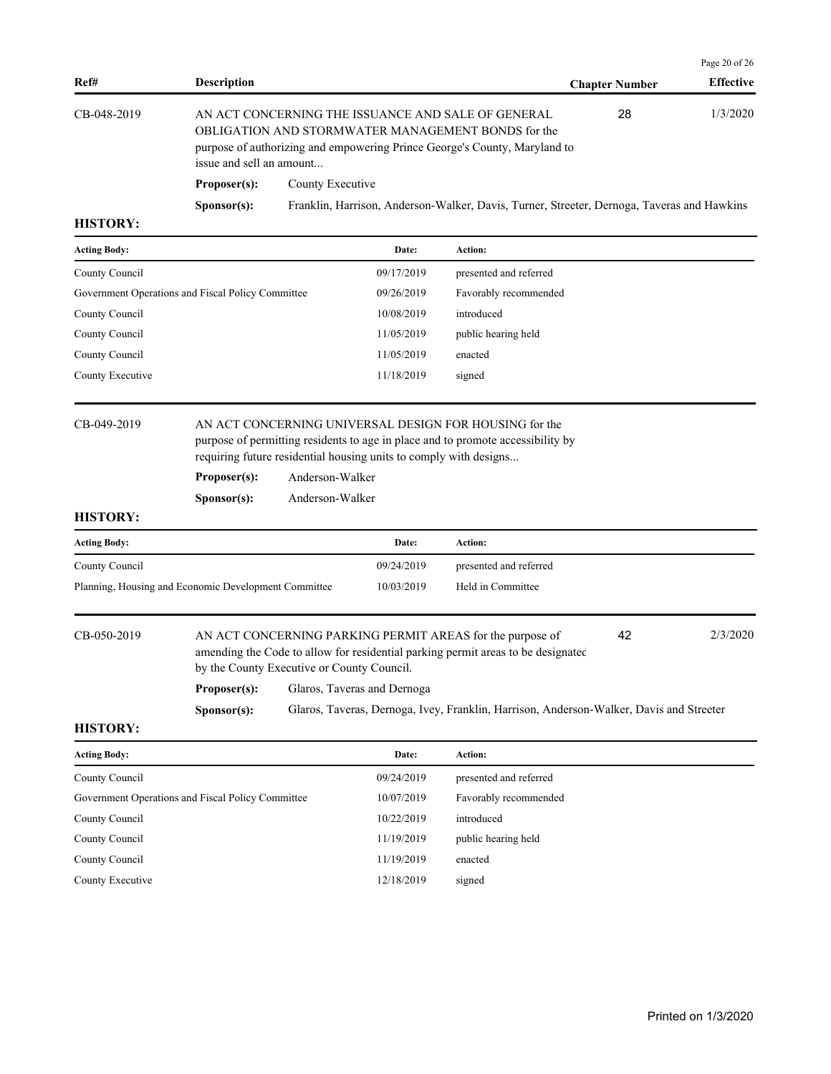|                 |                          |                                                                                                                                                                                       |                       | Page 20 of $26$  |
|-----------------|--------------------------|---------------------------------------------------------------------------------------------------------------------------------------------------------------------------------------|-----------------------|------------------|
| Ref#            | <b>Description</b>       |                                                                                                                                                                                       | <b>Chapter Number</b> | <b>Effective</b> |
| CB-048-2019     | issue and sell an amount | AN ACT CONCERNING THE ISSUANCE AND SALE OF GENERAL<br>OBLIGATION AND STORMWATER MANAGEMENT BONDS for the<br>purpose of authorizing and empowering Prince George's County, Maryland to | 28                    | 1/3/2020         |
|                 | Proposer(s):             | County Executive                                                                                                                                                                      |                       |                  |
|                 | S <b>p</b> onsor(s):     | Franklin, Harrison, Anderson-Walker, Davis, Turner, Streeter, Dernoga, Taveras and Hawkins                                                                                            |                       |                  |
| <b>HISTORY:</b> |                          |                                                                                                                                                                                       |                       |                  |

# **Acting Body: Date: Action:**  County Council 09/17/2019 presented and referred Government Operations and Fiscal Policy Committee 09/26/2019 Favorably recommended County Council 2008/2019 introduced 10/08/2019 introduced

| County Council   | 11/05/2019 | public hearing held |
|------------------|------------|---------------------|
| County Council   | 11/05/2019 | enacted             |
| County Executive | 11/18/2019 | signed              |
|                  |            |                     |

CB-049-2019 AN ACT CONCERNING UNIVERSAL DESIGN FOR HOUSING for the purpose of permitting residents to age in place and to promote accessibility by requiring future residential housing units to comply with designs...

| Proposer(s): | Anderson-Walker |
|--------------|-----------------|
|--------------|-----------------|

**Sponsor(s):** Anderson-Walker

## **HISTORY:**

| <b>Acting Body:</b>                                  | Date:      | Action:                |
|------------------------------------------------------|------------|------------------------|
| County Council                                       | 09/24/2019 | presented and referred |
| Planning, Housing and Economic Development Committee | 10/03/2019 | Held in Committee      |

CB-050-2019 AN ACT CONCERNING PARKING PERMIT AREAS for the purpose of 2/3/2020 amending the Code to allow for residential parking permit areas to be designated by the County Executive or County Council. 42 **Proposer(s):** Glaros, Taveras and Dernoga **Sponsor(s):** Glaros, Taveras, Dernoga, Ivey, Franklin, Harrison, Anderson-Walker, Davis and Streeter

| <b>Acting Body:</b>                               | Date:      | Action:                |
|---------------------------------------------------|------------|------------------------|
| County Council                                    | 09/24/2019 | presented and referred |
| Government Operations and Fiscal Policy Committee | 10/07/2019 | Favorably recommended  |
| County Council                                    | 10/22/2019 | introduced             |
| County Council                                    | 11/19/2019 | public hearing held    |
| County Council                                    | 11/19/2019 | enacted                |
| County Executive                                  | 12/18/2019 | signed                 |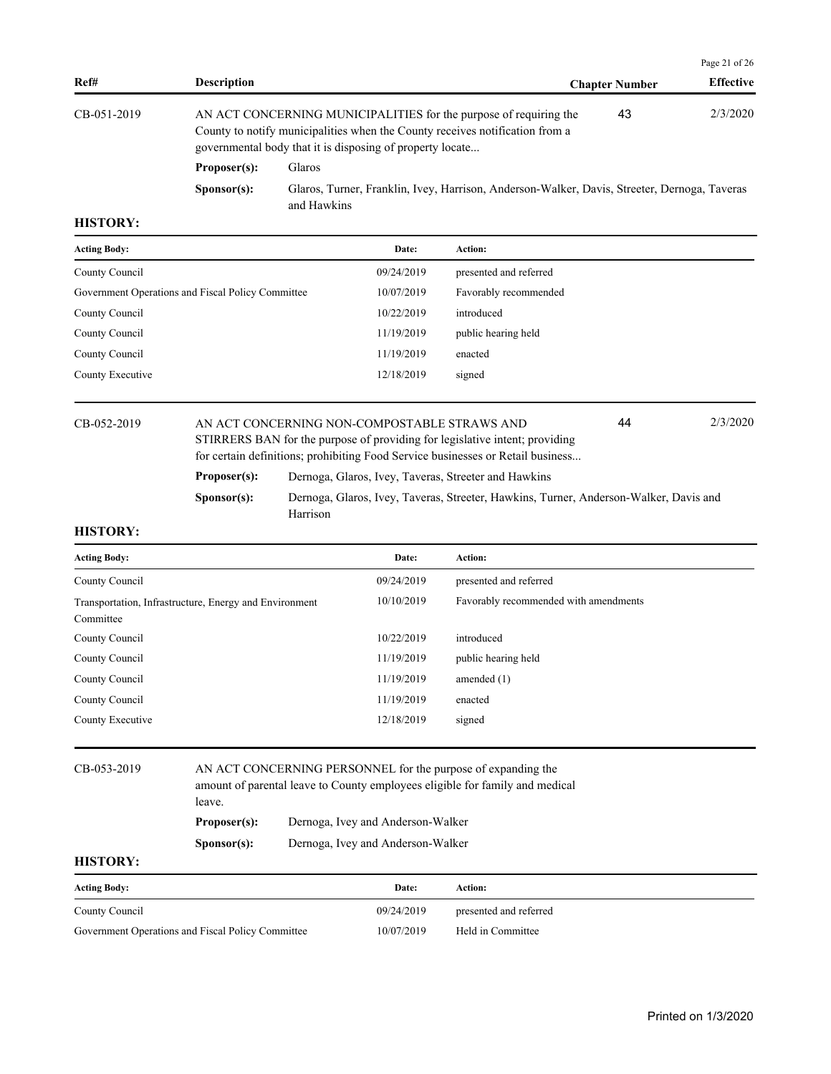|                      |               |                                                           | Page 21 of $26$                                                                                                                                                                                                                                   |
|----------------------|---------------|-----------------------------------------------------------|---------------------------------------------------------------------------------------------------------------------------------------------------------------------------------------------------------------------------------------------------|
| <b>Description</b>   |               | <b>Chapter Number</b>                                     | <b>Effective</b>                                                                                                                                                                                                                                  |
|                      |               | 43                                                        | 2/3/2020                                                                                                                                                                                                                                          |
| Proposer(s):         | <b>Glaros</b> |                                                           |                                                                                                                                                                                                                                                   |
| S <b>p</b> onsor(s): | and Hawkins   |                                                           |                                                                                                                                                                                                                                                   |
|                      |               | governmental body that it is disposing of property locate | AN ACT CONCERNING MUNICIPALITIES for the purpose of requiring the<br>County to notify municipalities when the County receives notification from a<br>Glaros, Turner, Franklin, Ivey, Harrison, Anderson-Walker, Davis, Streeter, Dernoga, Taveras |

| <b>Acting Body:</b>                               | Date:      | <b>Action:</b>         |
|---------------------------------------------------|------------|------------------------|
| County Council                                    | 09/24/2019 | presented and referred |
| Government Operations and Fiscal Policy Committee | 10/07/2019 | Favorably recommended  |
| County Council                                    | 10/22/2019 | introduced             |
| County Council                                    | 11/19/2019 | public hearing held    |
| County Council                                    | 11/19/2019 | enacted                |
| County Executive                                  | 12/18/2019 | signed                 |
|                                                   |            |                        |

CB-052-2019 AN ACT CONCERNING NON-COMPOSTABLE STRAWS AND 2/3/2020 STIRRERS BAN for the purpose of providing for legislative intent; providing for certain definitions; prohibiting Food Service businesses or Retail business... 44 Proposer(s): Dernoga, Glaros, Ivey, Taveras, Streeter and Hawkins

**Sponsor(s):** Dernoga, Glaros, Ivey, Taveras, Streeter, Hawkins, Turner, Anderson-Walker, Davis and Harrison

### **HISTORY:**

| <b>Acting Body:</b>                                                 | Date:      | Action:                               |
|---------------------------------------------------------------------|------------|---------------------------------------|
| County Council                                                      | 09/24/2019 | presented and referred                |
| Transportation, Infrastructure, Energy and Environment<br>Committee | 10/10/2019 | Favorably recommended with amendments |
| County Council                                                      | 10/22/2019 | introduced                            |
| County Council                                                      | 11/19/2019 | public hearing held                   |
| County Council                                                      | 11/19/2019 | amended $(1)$                         |
| County Council                                                      | 11/19/2019 | enacted                               |
| County Executive                                                    | 12/18/2019 | signed                                |

# CB-053-2019 AN ACT CONCERNING PERSONNEL for the purpose of expanding the amount of parental leave to County employees eligible for family and medical leave.

**Proposer(s):** Dernoga, Ivey and Anderson-Walker

**Sponsor(s):** Dernoga, Ivey and Anderson-Walker

| <b>Acting Body:</b>                               | Date:      | Action:                |
|---------------------------------------------------|------------|------------------------|
| County Council                                    | 09/24/2019 | presented and referred |
| Government Operations and Fiscal Policy Committee | 10/07/2019 | Held in Committee      |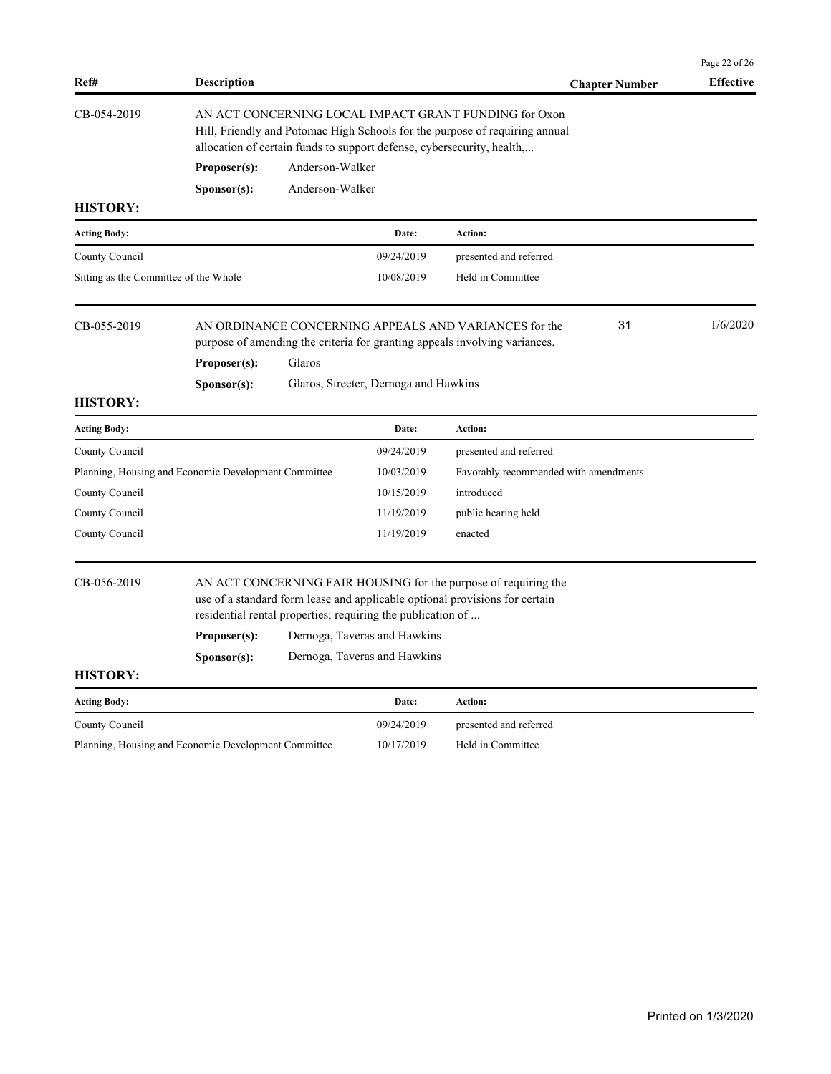|                                       |                                                      |                                                                                                                                                                                                                |                                                             |                                                                                                                                                |    | Page 22 of 26    |  |
|---------------------------------------|------------------------------------------------------|----------------------------------------------------------------------------------------------------------------------------------------------------------------------------------------------------------------|-------------------------------------------------------------|------------------------------------------------------------------------------------------------------------------------------------------------|----|------------------|--|
| Ref#                                  | <b>Description</b>                                   |                                                                                                                                                                                                                |                                                             | <b>Chapter Number</b>                                                                                                                          |    | <b>Effective</b> |  |
| CB-054-2019                           |                                                      | AN ACT CONCERNING LOCAL IMPACT GRANT FUNDING for Oxon<br>Hill, Friendly and Potomac High Schools for the purpose of requiring annual<br>allocation of certain funds to support defense, cybersecurity, health, |                                                             |                                                                                                                                                |    |                  |  |
|                                       | Proposer(s):                                         | Anderson-Walker                                                                                                                                                                                                |                                                             |                                                                                                                                                |    |                  |  |
|                                       | S <b>p</b> onsor(s):                                 | Anderson-Walker                                                                                                                                                                                                |                                                             |                                                                                                                                                |    |                  |  |
| <b>HISTORY:</b>                       |                                                      |                                                                                                                                                                                                                |                                                             |                                                                                                                                                |    |                  |  |
| <b>Acting Body:</b>                   |                                                      |                                                                                                                                                                                                                | Date:                                                       | Action:                                                                                                                                        |    |                  |  |
| County Council                        |                                                      |                                                                                                                                                                                                                | 09/24/2019                                                  | presented and referred                                                                                                                         |    |                  |  |
| Sitting as the Committee of the Whole |                                                      |                                                                                                                                                                                                                | 10/08/2019                                                  | Held in Committee                                                                                                                              |    |                  |  |
| CB-055-2019                           | Proposer(s):                                         | Glaros                                                                                                                                                                                                         |                                                             | AN ORDINANCE CONCERNING APPEALS AND VARIANCES for the<br>purpose of amending the criteria for granting appeals involving variances.            | 31 | 1/6/2020         |  |
|                                       | S <b>p</b> onsor(s):                                 |                                                                                                                                                                                                                | Glaros, Streeter, Dernoga and Hawkins                       |                                                                                                                                                |    |                  |  |
| <b>HISTORY:</b>                       |                                                      |                                                                                                                                                                                                                |                                                             |                                                                                                                                                |    |                  |  |
| <b>Acting Body:</b>                   |                                                      |                                                                                                                                                                                                                | Date:                                                       | Action:                                                                                                                                        |    |                  |  |
| County Council                        |                                                      |                                                                                                                                                                                                                | 09/24/2019                                                  | presented and referred                                                                                                                         |    |                  |  |
|                                       | Planning, Housing and Economic Development Committee |                                                                                                                                                                                                                | 10/03/2019                                                  | Favorably recommended with amendments                                                                                                          |    |                  |  |
| County Council                        |                                                      |                                                                                                                                                                                                                | 10/15/2019                                                  | introduced                                                                                                                                     |    |                  |  |
| County Council                        |                                                      |                                                                                                                                                                                                                | 11/19/2019                                                  | public hearing held                                                                                                                            |    |                  |  |
| County Council                        |                                                      |                                                                                                                                                                                                                | 11/19/2019                                                  | enacted                                                                                                                                        |    |                  |  |
| CB-056-2019                           |                                                      |                                                                                                                                                                                                                | residential rental properties; requiring the publication of | AN ACT CONCERNING FAIR HOUSING for the purpose of requiring the<br>use of a standard form lease and applicable optional provisions for certain |    |                  |  |
|                                       | Proposer(s):                                         |                                                                                                                                                                                                                | Dernoga, Taveras and Hawkins                                |                                                                                                                                                |    |                  |  |
|                                       | S <b>p</b> onsor(s):                                 |                                                                                                                                                                                                                | Dernoga, Taveras and Hawkins                                |                                                                                                                                                |    |                  |  |
| <b>HISTORY:</b>                       |                                                      |                                                                                                                                                                                                                |                                                             |                                                                                                                                                |    |                  |  |
| <b>Acting Body:</b>                   |                                                      |                                                                                                                                                                                                                | Date:                                                       | Action:                                                                                                                                        |    |                  |  |
| County Council                        |                                                      |                                                                                                                                                                                                                | 09/24/2019                                                  | presented and referred                                                                                                                         |    |                  |  |
|                                       | Planning, Housing and Economic Development Committee |                                                                                                                                                                                                                | 10/17/2019                                                  | Held in Committee                                                                                                                              |    |                  |  |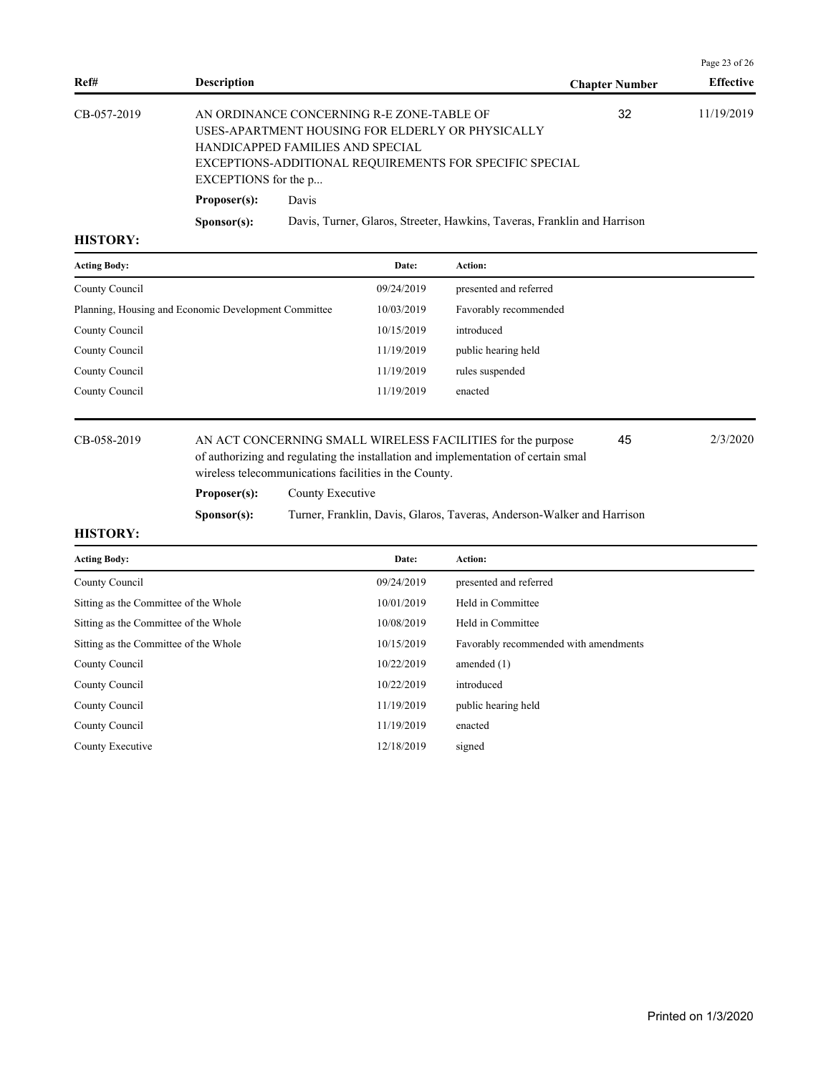|             |                      |                                                                                                                                                                                              |                       | Page 23 of $26$  |
|-------------|----------------------|----------------------------------------------------------------------------------------------------------------------------------------------------------------------------------------------|-----------------------|------------------|
| Ref#        | <b>Description</b>   |                                                                                                                                                                                              | <b>Chapter Number</b> | <b>Effective</b> |
| CB-057-2019 | EXCEPTIONS for the p | AN ORDINANCE CONCERNING R-E ZONE-TABLE OF<br>USES-APARTMENT HOUSING FOR ELDERLY OR PHYSICALLY<br>HANDICAPPED FAMILIES AND SPECIAL<br>EXCEPTIONS-ADDITIONAL REQUIREMENTS FOR SPECIFIC SPECIAL | 32                    | 11/19/2019       |
|             | Proposer(s):         | Davis                                                                                                                                                                                        |                       |                  |
|             | S <b>p</b> onsor(s): | Davis, Turner, Glaros, Streeter, Hawkins, Taveras, Franklin and Harrison                                                                                                                     |                       |                  |

| <b>Acting Body:</b>                                  | Date:      | Action:                |
|------------------------------------------------------|------------|------------------------|
| County Council                                       | 09/24/2019 | presented and referred |
| Planning, Housing and Economic Development Committee | 10/03/2019 | Favorably recommended  |
| County Council                                       | 10/15/2019 | introduced             |
| County Council                                       | 11/19/2019 | public hearing held    |
| County Council                                       | 11/19/2019 | rules suspended        |
| County Council                                       | 11/19/2019 | enacted                |
|                                                      |            |                        |

CB-058-2019 AN ACT CONCERNING SMALL WIRELESS FACILITIES for the purpose 2/3/2020 of authorizing and regulating the installation and implementation of certain small wireless telecommunications facilities in the County. 45

Proposer(s): County Executive

**Sponsor(s):** Turner, Franklin, Davis, Glaros, Taveras, Anderson-Walker and Harrison

| <b>Acting Body:</b>                   | Date:      | Action:                               |
|---------------------------------------|------------|---------------------------------------|
| County Council                        | 09/24/2019 | presented and referred                |
| Sitting as the Committee of the Whole | 10/01/2019 | Held in Committee                     |
| Sitting as the Committee of the Whole | 10/08/2019 | Held in Committee                     |
| Sitting as the Committee of the Whole | 10/15/2019 | Favorably recommended with amendments |
| County Council                        | 10/22/2019 | amended $(1)$                         |
| County Council                        | 10/22/2019 | introduced                            |
| County Council                        | 11/19/2019 | public hearing held                   |
| County Council                        | 11/19/2019 | enacted                               |
| County Executive                      | 12/18/2019 | signed                                |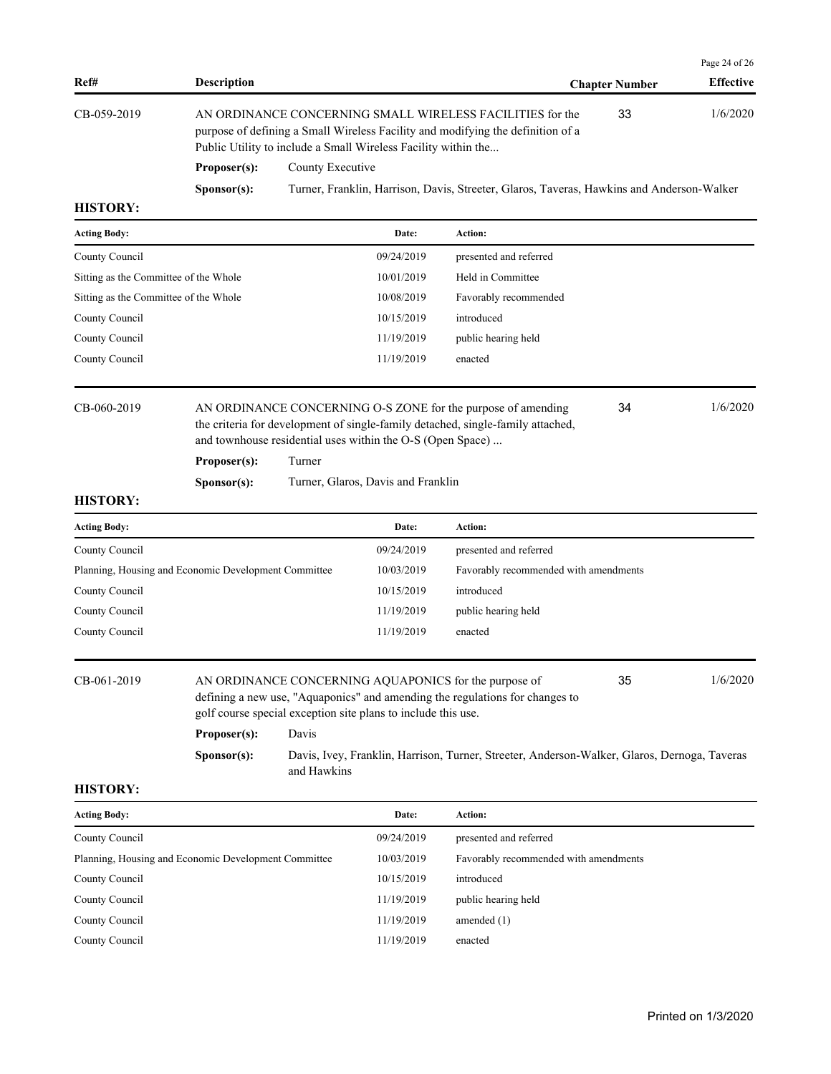| Ref#                                                 | <b>Description</b>          |                  |                                                                                                  |                                                                                                                                                 | <b>Chapter Number</b> | Page 24 of 26<br><b>Effective</b> |
|------------------------------------------------------|-----------------------------|------------------|--------------------------------------------------------------------------------------------------|-------------------------------------------------------------------------------------------------------------------------------------------------|-----------------------|-----------------------------------|
| CB-059-2019                                          |                             |                  | Public Utility to include a Small Wireless Facility within the                                   | AN ORDINANCE CONCERNING SMALL WIRELESS FACILITIES for the<br>purpose of defining a Small Wireless Facility and modifying the definition of a    | 33                    | 1/6/2020                          |
|                                                      | Proposer(s):                | County Executive |                                                                                                  |                                                                                                                                                 |                       |                                   |
|                                                      | Sponsor(s):                 |                  |                                                                                                  | Turner, Franklin, Harrison, Davis, Streeter, Glaros, Taveras, Hawkins and Anderson-Walker                                                       |                       |                                   |
| <b>HISTORY:</b>                                      |                             |                  |                                                                                                  |                                                                                                                                                 |                       |                                   |
| <b>Acting Body:</b>                                  |                             |                  | Date:                                                                                            | Action:                                                                                                                                         |                       |                                   |
| County Council                                       |                             |                  | 09/24/2019                                                                                       | presented and referred                                                                                                                          |                       |                                   |
| Sitting as the Committee of the Whole                |                             |                  | 10/01/2019                                                                                       | Held in Committee                                                                                                                               |                       |                                   |
| Sitting as the Committee of the Whole                |                             |                  | 10/08/2019                                                                                       | Favorably recommended                                                                                                                           |                       |                                   |
| County Council                                       |                             |                  | 10/15/2019                                                                                       | introduced                                                                                                                                      |                       |                                   |
| County Council                                       |                             |                  | 11/19/2019                                                                                       | public hearing held                                                                                                                             |                       |                                   |
| County Council                                       |                             |                  | 11/19/2019                                                                                       | enacted                                                                                                                                         |                       |                                   |
| CB-060-2019<br><b>HISTORY:</b>                       | Proposer(s):<br>Sponsor(s): | Turner           | and townhouse residential uses within the O-S (Open Space)<br>Turner, Glaros, Davis and Franklin | AN ORDINANCE CONCERNING O-S ZONE for the purpose of amending<br>the criteria for development of single-family detached, single-family attached, | 34                    | 1/6/2020                          |
| <b>Acting Body:</b>                                  |                             |                  | Date:                                                                                            | Action:                                                                                                                                         |                       |                                   |
| County Council                                       |                             |                  | 09/24/2019                                                                                       | presented and referred                                                                                                                          |                       |                                   |
| Planning, Housing and Economic Development Committee |                             |                  | 10/03/2019                                                                                       | Favorably recommended with amendments                                                                                                           |                       |                                   |
| County Council                                       |                             |                  | 10/15/2019                                                                                       | introduced                                                                                                                                      |                       |                                   |
| County Council                                       |                             |                  | 11/19/2019                                                                                       | public hearing held                                                                                                                             |                       |                                   |
| County Council                                       |                             |                  | 11/19/2019                                                                                       | enacted                                                                                                                                         |                       |                                   |
| CB-061-2019                                          |                             |                  | golf course special exception site plans to include this use.                                    | AN ORDINANCE CONCERNING AQUAPONICS for the purpose of<br>defining a new use, "Aquaponics" and amending the regulations for changes to           | 35                    | 1/6/2020                          |
|                                                      | Proposer(s):                | Davis            |                                                                                                  |                                                                                                                                                 |                       |                                   |
|                                                      | Sponsor(s):                 | and Hawkins      |                                                                                                  | Davis, Ivey, Franklin, Harrison, Turner, Streeter, Anderson-Walker, Glaros, Dernoga, Taveras                                                    |                       |                                   |
| <b>HISTORY:</b>                                      |                             |                  |                                                                                                  |                                                                                                                                                 |                       |                                   |
| <b>Acting Body:</b>                                  |                             |                  | Date:                                                                                            | Action:                                                                                                                                         |                       |                                   |
| County Council                                       |                             |                  | 09/24/2019                                                                                       | presented and referred                                                                                                                          |                       |                                   |
| Planning, Housing and Economic Development Committee |                             |                  | 10/03/2019                                                                                       | Favorably recommended with amendments                                                                                                           |                       |                                   |
| County Council                                       |                             |                  | 10/15/2019                                                                                       | introduced                                                                                                                                      |                       |                                   |
| County Council                                       |                             |                  | 11/19/2019                                                                                       | public hearing held                                                                                                                             |                       |                                   |

County Council 11/19/2019 amended (1) County Council 11/19/2019 enacted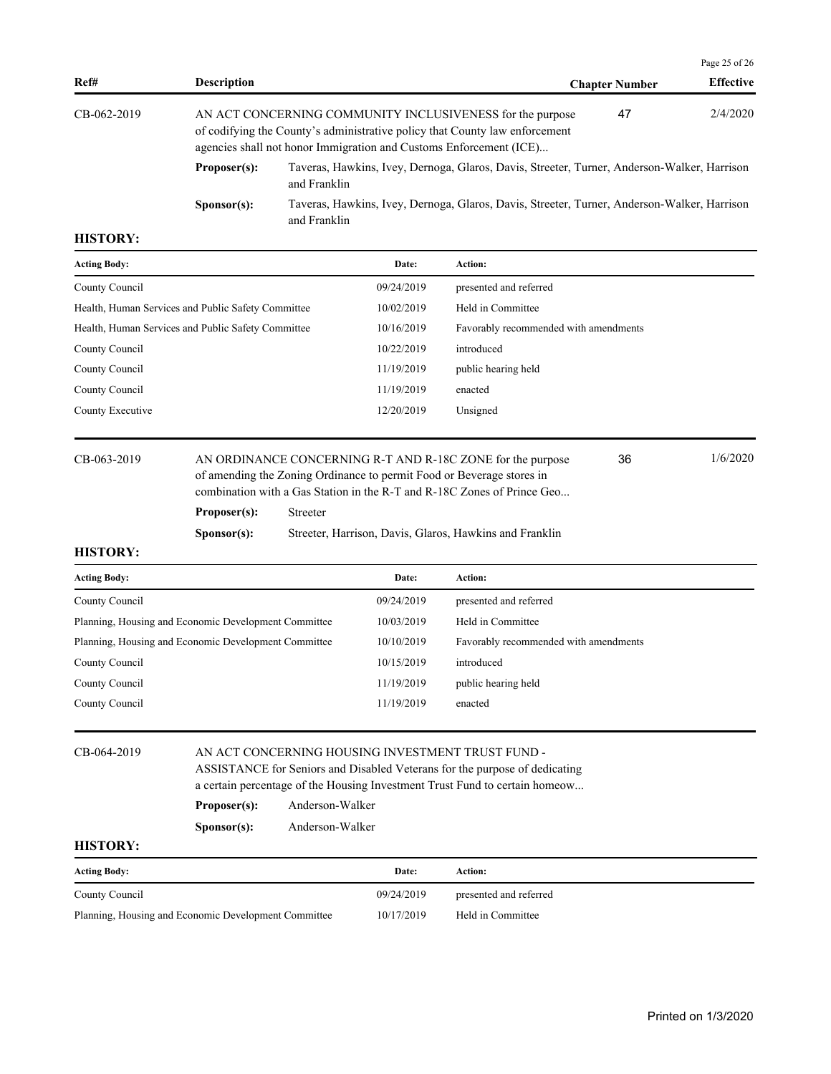|               |                      |                                                                                                                                                                                                                |                       | Page 25 of $26$  |
|---------------|----------------------|----------------------------------------------------------------------------------------------------------------------------------------------------------------------------------------------------------------|-----------------------|------------------|
| Ref#          | <b>Description</b>   |                                                                                                                                                                                                                | <b>Chapter Number</b> | <b>Effective</b> |
| $CB-062-2019$ |                      | AN ACT CONCERNING COMMUNITY INCLUSIVENESS for the purpose<br>of codifying the County's administrative policy that County law enforcement<br>agencies shall not honor Immigration and Customs Enforcement (ICE) | 47                    | 2/4/2020         |
|               | Proposer(s):         | Taveras, Hawkins, Ivey, Dernoga, Glaros, Davis, Streeter, Turner, Anderson-Walker, Harrison<br>and Franklin                                                                                                    |                       |                  |
|               | S <b>p</b> onsor(s): | Taveras, Hawkins, Ivey, Dernoga, Glaros, Davis, Streeter, Turner, Anderson-Walker, Harrison<br>and Franklin                                                                                                    |                       |                  |

| <b>Acting Body:</b>                                | Date:      | <b>Action:</b>                        |
|----------------------------------------------------|------------|---------------------------------------|
| County Council                                     | 09/24/2019 | presented and referred                |
| Health, Human Services and Public Safety Committee | 10/02/2019 | Held in Committee                     |
| Health, Human Services and Public Safety Committee | 10/16/2019 | Favorably recommended with amendments |
| County Council                                     | 10/22/2019 | introduced                            |
| County Council                                     | 11/19/2019 | public hearing held                   |
| County Council                                     | 11/19/2019 | enacted                               |
| County Executive                                   | 12/20/2019 | Unsigned                              |
|                                                    |            |                                       |

CB-063-2019 AN ORDINANCE CONCERNING R-T AND R-18C ZONE for the purpose 36 1/6/2020 of amending the Zoning Ordinance to permit Food or Beverage stores in combination with a Gas Station in the R-T and R-18C Zones of Prince Geo... 36

# **Proposer(s):** Streeter

**Sponsor(s):** Streeter, Harrison, Davis, Glaros, Hawkins and Franklin

# **HISTORY:**

| <b>Acting Body:</b>                                  | Date:      | Action:                               |
|------------------------------------------------------|------------|---------------------------------------|
| County Council                                       | 09/24/2019 | presented and referred                |
| Planning, Housing and Economic Development Committee | 10/03/2019 | Held in Committee                     |
| Planning, Housing and Economic Development Committee | 10/10/2019 | Favorably recommended with amendments |
| County Council                                       | 10/15/2019 | introduced                            |
| County Council                                       | 11/19/2019 | public hearing held                   |
| County Council                                       | 11/19/2019 | enacted                               |
|                                                      |            |                                       |

# CB-064-2019 AN ACT CONCERNING HOUSING INVESTMENT TRUST FUND - ASSISTANCE for Seniors and Disabled Veterans for the purpose of dedicating

a certain percentage of the Housing Investment Trust Fund to certain homeow...

**Proposer(s):** Anderson-Walker

| S <b>p</b> onsor(s): | Anderson-Walker |
|----------------------|-----------------|
|                      |                 |

| <b>Acting Body:</b>                                  | Date:      | Action:                |
|------------------------------------------------------|------------|------------------------|
| County Council                                       | 09/24/2019 | presented and referred |
| Planning, Housing and Economic Development Committee | 10/17/2019 | Held in Committee      |